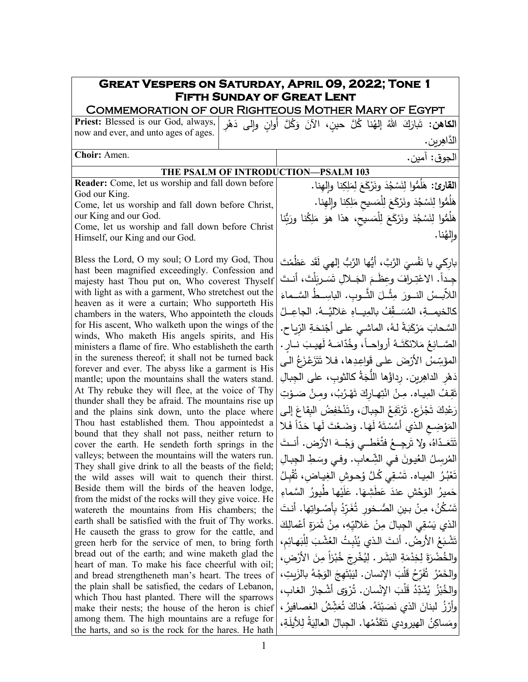## **Great Vespers on Saturday, April 09, 2022; Tone 1 Fifth Sunday of Great Lent**

Commemoration of our Righteous Mother Mary of Egypt **الكاهن:** تَبارَكَ اللهُ إلهُنا كُلَّ حينٍ، الآنَ وَكُلَّ أُوانٍ وإل<sub>َّ</sub>ى دَهْرِ الدَّاهِرين. **Priest:** Blessed is our God, always, now and ever, and unto ages of ages. الجوق: آمین. .Amen **:Choir THE PSALM OF INTRODUCTION—PSALM 103** ا**لقارئ:** هَلُمُّوا لِنَسْجُدَ ونَرْكَعَ لِمَلِكِنا وإلهِنا.<br>' هَلُمُّوا لِنَسْجُدَ ونَرْكَعَ لِلْمَسيحِ مَلِكِنا وإلهِنا.<br>\* </sub> هَلُمُّوا لِنَسْجُدَ ونَرْكَعَ لِلْمَسيحِ، هذا هوَ مَلِكُنا ورَبُّنا | والِهُنا. .<br>-بارِكِي يا نَفْسيَ الرَّبَّ، أَيُّها الرَّبُّ إلهي لَقَد عَظْمْتَ جِـداً. الاعْتِـرافَ وعِظَـمَ الجَــلالِ تَسَــربَلْتَ، أنــتَ<br>مَسِّ **ء**<br>. اللاَّبِــسُ النسورَ مِثْــلَ الثَّــوبِ. الباسِـــطُ السَّــماءَ ُ ُ ِ . الجاعــــــل َ َّلال�ــــــه ِ ع ِ�ــــــاه ِ ُف �الم ّ َ ــــــق ُس ،ِ الم كالخ�مــــــة ِ ّ ِ الر َ ـة ْ نح ،ُ الماشـي علـى أج ـة لـه ً َ �َ ْك َر َّ السـحاب �ـاح. َ م الصَّــانِعُ مَلائكَتَــهُ أرواحــاً، وخُدّامَــهُ لَهيــبَ نــارٍ . |<br>. المؤَسِّسُ الأرْضَ على قَواعِدِها، فلا تَتَزَعْزَعُ اللّهِ | دَهْرِ الداهِرين. رِداؤُها اللُّجَةُ كالثوبِ، على الجِبالِ ا<br>أ تَقِفُ المِيـاه. مِنْ انْتِهـارِكَ تَهْرُبُ، ومِنْ صَـوْتِ ْ رَعْدِكَ تَجْزَع. تَرْتَفِعُ الْجِبالَ، وتَنْخَفِضُ الْبِقَاعَ إِلَى |<br>. .<br>. المَوْضِعِ الذي أَسَّسْتَهُ لَهَا. وَضَعْتَ لَها حَدّاً فَلا |<br>المَوْضِعِ الذي أَسَّسْتَهُ لَهَا. وَضَعْتَ لَها حَدّاً فَلا تَتَعَدّاهُ، ولا تَرجِــعُ فتُغَطــي وَجْــهَ الأَرْضِ. أنــتَ المُرسِلُ العُيونَ في الشِّعابِ. وفي وسَطِ الجِبالِ<br>ِ تَعْبُرُ المِيـاه. تَسْقِي كُلَّ وُحـوشِ الغِيـاضِ، تُقْبِـلُ ْ .<br>ا حَميرُ الوَحْشِ عندَ عَطَشِهَا. عَلَيْها طُيورُ السَّماءِ<br>معددُ تَسْكُنُ، مِنْ بينِ الصُـخورِ تُغَرِّدُ بِأَصْـواتِها. أنتَ الذي يَسْقِي الجِبالَ مِنْ عَلاليِّهِ، مِنْ شَرَةِ أَعْمالِكَ<br>مَا تَشْبَعُ الأرضُ. أنتَ الذي يُنْبِتُ العُشْبَ الِلْبَهائِمِ، | <u>ا</u><br>ا والخُضْرَةَ لِخِدْمَةِ البَشَرِ . لِيُخْرِجَ خُبْزاً مِنَ الأَرْضِ، | والخَمْرُ ۖ ثَفَرِّحُ قَلْبَ الإِنسانِ. ليَبْتَهِجَ الوَجْهُ بالزَيتِ، |<br>منظور من يُوسف **ٔ** ُ ِ الغـاب، َى ْ أشـجار ْ و ُـر ْسـان. ت َ الإن َْلـب ُ ق ِد ّ ُ َشد � ُ ْز ُب والخ ، ُ َصافیر َ ّشِ ُش الع ُع َ ت ُناك .ُ ه َه ت َ ب َص َ الذي ن ُ لبنان ْ ز وأر ْ ومَساكِنُ الـهيرودي تَتَقَدَّمُها. الـجِبالُ الـعالِيَةُ لِلأَيلَةِ، | **Reader:** Come, let us worship and fall down before God our King. Come, let us worship and fall down before Christ, our King and our God. Come, let us worship and fall down before Christ Himself, our King and our God. Bless the Lord, O my soul; O Lord my God, Thou hast been magnified exceedingly. Confession and majesty hast Thou put on, Who coverest Thyself with light as with a garment, Who stretchest out the heaven as it were a curtain; Who supporteth His chambers in the waters, Who appointeth the clouds for His ascent, Who walketh upon the wings of the winds, Who maketh His angels spirits, and His ministers a flame of fire. Who establisheth the earth in the sureness thereof; it shall not be turned back forever and ever. The abyss like a garment is His mantle; upon the mountains shall the waters stand. At Thy rebuke they will flee, at the voice of Thy thunder shall they be afraid. The mountains rise up and the plains sink down, unto the place where Thou hast established them. Thou appointedst a bound that they shall not pass, neither return to cover the earth. He sendeth forth springs in the valleys; between the mountains will the waters run. They shall give drink to all the beasts of the field; the wild asses will wait to quench their thirst. Beside them will the birds of the heaven lodge, from the midst of the rocks will they give voice. He watereth the mountains from His chambers; the earth shall be satisfied with the fruit of Thy works. He causeth the grass to grow for the cattle, and green herb for the service of men, to bring forth bread out of the earth; and wine maketh glad the heart of man. To make his face cheerful with oil; and bread strengtheneth man's heart. The trees of the plain shall be satisfied, the cedars of Lebanon, which Thou hast planted. There will the sparrows make their nests; the house of the heron is chief among them. The high mountains are a refuge for the harts, and so is the rock for the hares. He hath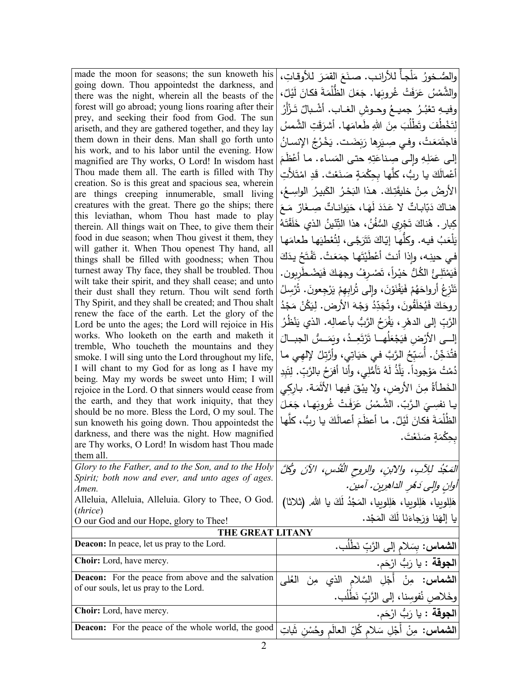| made the moon for seasons; the sun knoweth his<br>going down. Thou appointedst the darkness, and<br>there was the night, wherein all the beasts of the<br>forest will go abroad; young lions roaring after their<br>prey, and seeking their food from God. The sun<br>ariseth, and they are gathered together, and they lay<br>them down in their dens. Man shall go forth unto<br>his work, and to his labor until the evening. How<br>magnified are Thy works, O Lord! In wisdom hast<br>Thou made them all. The earth is filled with Thy<br>creation. So is this great and spacious sea, wherein<br>are things creeping innumerable, small living<br>creatures with the great. There go the ships; there<br>this leviathan, whom Thou hast made to play<br>therein. All things wait on Thee, to give them their<br>food in due season; when Thou givest it them, they<br>will gather it. When Thou openest Thy hand, all<br>things shall be filled with goodness; when Thou<br>turnest away Thy face, they shall be troubled. Thou<br>wilt take their spirit, and they shall cease; and unto<br>their dust shall they return. Thou wilt send forth<br>Thy Spirit, and they shall be created; and Thou shalt<br>renew the face of the earth. Let the glory of the<br>Lord be unto the ages; the Lord will rejoice in His<br>works. Who looketh on the earth and maketh it<br>tremble, Who toucheth the mountains and they<br>smoke. I will sing unto the Lord throughout my life,<br>I will chant to my God for as long as I have my<br>being. May my words be sweet unto Him; I will<br>rejoice in the Lord. O that sinners would cease from<br>the earth, and they that work iniquity, that they<br>should be no more. Bless the Lord, O my soul. The | والصُّخورُ ۖ مَلْجأً للأرانب. صنَعَ القمَرَ ۖ للأوقاتِ،<br>والشَّمْسُ عَرَفَتْ غُروبَها. جَعَلَ الظُّلْمَةَ فكانَ لَيْلٌ،<br>وفيهِ تعْبُـرُ جميــعُ وحــوش الغــاب. أشْـبالٌ تَـزْأَرُ<br>لِتَخْطُفَ وتَطْلُبَ مِنَ اللهِ طَعامَها. أَشْرَقَتِ الشَّمسُ<br>فاجتَمَعَتْ، وفي صِيَرِها رَبَضَت. يَخْرُجُ الإنسانُ<br>إلى عَمَلِهِ وإلى صِناعَتِهِ حتى المَساءِ. ما أَعْظَمَ<br>أَعْمالَكَ يا ربُّ، كلُّها بِحِكْمَةٍ صَنَعْتَ. قَدِ امْتَلأتِ<br>الأرضُ مِنْ خليقَتِكَ. هذا البَحْرُ الكَبِيرُ الواسِعُ،<br>هنـاكَ دَبّابـاتٌ لا عَدَدَ لَهَـا، حَيَوانـاتٌ صِـغَارٌ مَـعَ<br>كِبارٍ . هُناكَ تَجْرِي السُّفُنُ، هذا النِّتّينُ الذي خَلَقْتَهُ<br>يَلْعَبُ فيه. وكلَّها إيّاكَ تَتَرَجَّى، لِتُعْطِيَها طعامَها<br>في حينِه، وإذا أنتَ أَعْطَيْتَها جِمَعَتْ. تَفْتَحُ يدَكَ<br>فَيَمْتَلِئُ الكُلُّ خيْراً، تَصْرِفُ وجهَكَ فَيَضْطُرِبون.<br>تَنْزِعُ أَرواحَهُمْ فَيَفْنَوْنَ، وإِلَى تُرابِهِمْ يَرْجِعونَ. تُرْسِلُ<br>روحَكَ فَيُخلَقُونَ، وتُجَدِّدُ وَجْهَ الأرض. لِيَكُنْ مَجْدُ<br>الرَّبِّ إلى الدهْرِ ، يَفْرَحُ الرَّبُّ بأعمالِه. الذي يَنْظُرُ<br>إلى الأرْض فيَجْعَلَهــا تَرْتَعِــدُ، ويَمَـسُ الجبــالَ<br>فَتُدَخِّنُ. أَسَبِّحُ الرَّبَّ في حَيَاتِي، وأَرَّتِلُ لِإلْهِي ما<br>دُمْتُ مَوْجوداً. يَلَّذُ لَهُ تَأْمُّلِي، وأنا أفرَحُ بالرَّبِّ. لِتَبِدِ<br>الْخَطْأَةُ مِنَ الأَرضِ، ولا يبْقَ فيها الأَثَمَةِ. باركي<br>يـا نفسِـيَ الـرَّبّ. الشَّمْسُ عَرَفَتْ غُروبَهـا، جَعَلَ |
|-----------------------------------------------------------------------------------------------------------------------------------------------------------------------------------------------------------------------------------------------------------------------------------------------------------------------------------------------------------------------------------------------------------------------------------------------------------------------------------------------------------------------------------------------------------------------------------------------------------------------------------------------------------------------------------------------------------------------------------------------------------------------------------------------------------------------------------------------------------------------------------------------------------------------------------------------------------------------------------------------------------------------------------------------------------------------------------------------------------------------------------------------------------------------------------------------------------------------------------------------------------------------------------------------------------------------------------------------------------------------------------------------------------------------------------------------------------------------------------------------------------------------------------------------------------------------------------------------------------------------------------------------------------------------------------------------------------------------------------------------------------|------------------------------------------------------------------------------------------------------------------------------------------------------------------------------------------------------------------------------------------------------------------------------------------------------------------------------------------------------------------------------------------------------------------------------------------------------------------------------------------------------------------------------------------------------------------------------------------------------------------------------------------------------------------------------------------------------------------------------------------------------------------------------------------------------------------------------------------------------------------------------------------------------------------------------------------------------------------------------------------------------------------------------------------------------------------------------------------------------------------------------------------------------------------------------------------------------------------------------------------------------------------------------------------------------------------------------------------------------------------------------------------------------------|
| sun knoweth his going down. Thou appointedst the<br>darkness, and there was the night. How magnified<br>are Thy works, O Lord! In wisdom hast Thou made                                                                                                                                                                                                                                                                                                                                                                                                                                                                                                                                                                                                                                                                                                                                                                                                                                                                                                                                                                                                                                                                                                                                                                                                                                                                                                                                                                                                                                                                                                                                                                                                   | الظُلْمَةَ فكانَ لَيْلٌ. ما أعظَمَ أعمالَكَ يا ربُّ، كلّها<br>بجِكْمَةٍ صَنَعْتَ.                                                                                                                                                                                                                                                                                                                                                                                                                                                                                                                                                                                                                                                                                                                                                                                                                                                                                                                                                                                                                                                                                                                                                                                                                                                                                                                          |
| them all.                                                                                                                                                                                                                                                                                                                                                                                                                                                                                                                                                                                                                                                                                                                                                                                                                                                                                                                                                                                                                                                                                                                                                                                                                                                                                                                                                                                                                                                                                                                                                                                                                                                                                                                                                 |                                                                                                                                                                                                                                                                                                                                                                                                                                                                                                                                                                                                                                                                                                                                                                                                                                                                                                                                                                                                                                                                                                                                                                                                                                                                                                                                                                                                            |
| Glory to the Father, and to the Son, and to the Holy<br>Spirit; both now and ever, and unto ages of ages.<br>Amen.<br>Alleluia, Alleluia, Alleluia. Glory to Thee, O God.<br>( <i>thrice</i> )<br>O our God and our Hope, glory to Thee!                                                                                                                                                                                                                                                                                                                                                                                                                                                                                                                                                                                                                                                                                                                                                                                                                                                                                                                                                                                                                                                                                                                                                                                                                                                                                                                                                                                                                                                                                                                  | الْمَجْدُ لِلِأَبِ، والأبنِ، والروح القُدْسِ، الآنَ وكُلَّ<br>أوان والى دَمُر الداهرِينِ. آمينِ.<br>هَلِلوبِيا، هَلِلوبِيا، هَلِلوبِيا، المَجْدُ لَكَ يا الله. (ثلاثا)<br>يا إلهَنا وَرَجاءَنَا لَكَ المَحْد.                                                                                                                                                                                                                                                                                                                                                                                                                                                                                                                                                                                                                                                                                                                                                                                                                                                                                                                                                                                                                                                                                                                                                                                              |
| THE GREAT LITANY                                                                                                                                                                                                                                                                                                                                                                                                                                                                                                                                                                                                                                                                                                                                                                                                                                                                                                                                                                                                                                                                                                                                                                                                                                                                                                                                                                                                                                                                                                                                                                                                                                                                                                                                          |                                                                                                                                                                                                                                                                                                                                                                                                                                                                                                                                                                                                                                                                                                                                                                                                                                                                                                                                                                                                                                                                                                                                                                                                                                                                                                                                                                                                            |
| <b>Deacon:</b> In peace, let us pray to the Lord.                                                                                                                                                                                                                                                                                                                                                                                                                                                                                                                                                                                                                                                                                                                                                                                                                                                                                                                                                                                                                                                                                                                                                                                                                                                                                                                                                                                                                                                                                                                                                                                                                                                                                                         | ا <b>لشماس:</b> بِسَلام إلى الرَّبِّ نَطْلُب.                                                                                                                                                                                                                                                                                                                                                                                                                                                                                                                                                                                                                                                                                                                                                                                                                                                                                                                                                                                                                                                                                                                                                                                                                                                                                                                                                              |
| Choir: Lord, have mercy.                                                                                                                                                                                                                                                                                                                                                                                                                                                                                                                                                                                                                                                                                                                                                                                                                                                                                                                                                                                                                                                                                                                                                                                                                                                                                                                                                                                                                                                                                                                                                                                                                                                                                                                                  | ا <b>لجوقة</b> : يا رَبُّ ارْحَم.                                                                                                                                                                                                                                                                                                                                                                                                                                                                                                                                                                                                                                                                                                                                                                                                                                                                                                                                                                                                                                                                                                                                                                                                                                                                                                                                                                          |
| <b>Deacon:</b> For the peace from above and the salvation<br>of our souls, let us pray to the Lord.                                                                                                                                                                                                                                                                                                                                                                                                                                                                                                                                                                                                                                                                                                                                                                                                                                                                                                                                                                                                                                                                                                                                                                                                                                                                                                                                                                                                                                                                                                                                                                                                                                                       | <b>الشماس:</b> مِنْ أَجْلِ السَّلام الذي مِنَ<br>العُلي<br>وخَلاصِ نُفوسِنا، إلى الرَّبِّ نَطْلُب.                                                                                                                                                                                                                                                                                                                                                                                                                                                                                                                                                                                                                                                                                                                                                                                                                                                                                                                                                                                                                                                                                                                                                                                                                                                                                                         |
| Choir: Lord, have mercy.                                                                                                                                                                                                                                                                                                                                                                                                                                                                                                                                                                                                                                                                                                                                                                                                                                                                                                                                                                                                                                                                                                                                                                                                                                                                                                                                                                                                                                                                                                                                                                                                                                                                                                                                  | ا <b>لجوقة</b> : يا رَبُّ ارْحَم.                                                                                                                                                                                                                                                                                                                                                                                                                                                                                                                                                                                                                                                                                                                                                                                                                                                                                                                                                                                                                                                                                                                                                                                                                                                                                                                                                                          |
|                                                                                                                                                                                                                                                                                                                                                                                                                                                                                                                                                                                                                                                                                                                                                                                                                                                                                                                                                                                                                                                                                                                                                                                                                                                                                                                                                                                                                                                                                                                                                                                                                                                                                                                                                           |                                                                                                                                                                                                                                                                                                                                                                                                                                                                                                                                                                                                                                                                                                                                                                                                                                                                                                                                                                                                                                                                                                                                                                                                                                                                                                                                                                                                            |
| <b>Deacon:</b> For the peace of the whole world, the good                                                                                                                                                                                                                                                                                                                                                                                                                                                                                                                                                                                                                                                                                                                                                                                                                                                                                                                                                                                                                                                                                                                                                                                                                                                                                                                                                                                                                                                                                                                                                                                                                                                                                                 | ا <b>لشماس:</b> مِنْ أَجْلِ سَلام كُلِّ العالَم وحُسْن شَاتِ                                                                                                                                                                                                                                                                                                                                                                                                                                                                                                                                                                                                                                                                                                                                                                                                                                                                                                                                                                                                                                                                                                                                                                                                                                                                                                                                               |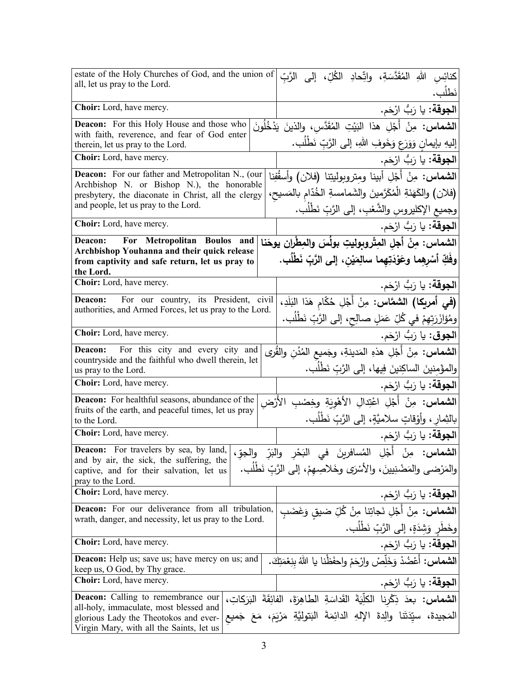| estate of the Holy Churches of God, and the union of                                                               | كنائِسِ اللهِ المُقَدَّسَةِ، واتِّحادِ الكُلِّ، إلى الرَّبِّ                   |
|--------------------------------------------------------------------------------------------------------------------|--------------------------------------------------------------------------------|
| all, let us pray to the Lord.                                                                                      | نَطلُب.                                                                        |
| Choir: Lord, have mercy.                                                                                           | ِ ا <b>لجوقة:</b> يا رَبُّ ارْحَم.                                             |
| <b>Deacon:</b> For this Holy House and those who                                                                   | ا <b>لشماس:</b> مِنْ أَجْلِ هذا البَيْتِ المُقَدَّس، والذينَ يَدْخُلُونَ       |
| with faith, reverence, and fear of God enter                                                                       | إليهِ بإيمانِ وَوَرَعٍ وَخَوفِ اللهِ، إلى الرَّبِّ نَطْلُب.                    |
| therein, let us pray to the Lord.<br>Choir: Lord, have mercy.                                                      |                                                                                |
| <b>Deacon:</b> For our father and Metropolitan N., (our                                                            | <b>الجوقة:</b> يا رَبُّ ارْحَم.                                                |
| Archbishop N. or Bishop N.), the honorable                                                                         | ا <b>لشماس:</b> مِنْ أَجْلِ أَبينا ومِتروبوليتِنا (فلان) وأسقُفِنا             |
| presbytery, the diaconate in Christ, all the clergy                                                                | (فلان) والكَهَنَةِ الْمُكَرَّمينَ والشَمامسةِ الخُدّام بالمَسيح،               |
| and people, let us pray to the Lord.                                                                               | وجميع الإكليروس والشَّعْبِ، إلى الرَّبِّ نَطْلُب.                              |
| Choir: Lord, have mercy.                                                                                           | ا <b>لجوقة:</b> يا رَبُّ ارْحَم.                                               |
| For Metropolitan Boulos and<br>Deacon:                                                                             | الشماس: مِنْ أجلِ المِتْروبوليتِ بولُسَ والمِطْرانِ يوحَنا                     |
| Archbishop Youhanna and their quick release<br>from captivity and safe return, let us pray to                      | وفَكِّ أَسْرِهِما وعَوْدَتِهِما سالِمَيْنِ، إلى الرَّبِّ نَطْلُبٍ.             |
| the Lord.                                                                                                          |                                                                                |
| Choir: Lord, have mercy.                                                                                           | <b>الجوقة:</b> يا رَبُّ ارْحَم.                                                |
| For our country, its President, civil<br>Deacon:<br>authorities, and Armed Forces, let us pray to the Lord.        | (في أمريكا) الشعَّاس: مِنْ أَجْلِ حُكّام هَذا البَلَدِ،                        |
|                                                                                                                    | ومُؤازَرَتِهِمْ في كُلِّ عَمَلٍ صالِحٍ، إلى الرَّبِّ نَطْلُب.                  |
| Choir: Lord, have mercy.                                                                                           | <b>الجوق</b> : يا رَبُّ ارْحَم.                                                |
| For this city and every city and<br>Deacon:                                                                        | ا <b>لشماس:</b> مِنْ أَجْلِ هذهِ المَدينةِ، وجَميع المُدُنِ والقُرى            |
| countryside and the faithful who dwell therein, let<br>us pray to the Lord.                                        | والمؤْمنينَ الساكِنينَ فِيها، إلى الرَّبِّ نَطْلُب.                            |
| <b>Choir:</b> Lord, have mercy.                                                                                    | ا <b>لجوقة:</b> يا رَبُّ ارْحَم.                                               |
| <b>Deacon:</b> For healthful seasons, abundance of the                                                             | ا <b>لشماس:</b> مِنْ أَجْلِ اعْتِدالِ الأَهْوِيَةِ وخِصْبِ الأَرْض             |
| fruits of the earth, and peaceful times, let us pray<br>to the Lord.                                               | بالنِّمارِ ، وأَوْقاتٍ سلاميَّةٍ، إلى الرَّبِّ نَطْلُبٍ.                       |
| Choir: Lord, have mercy.                                                                                           | ا <b>لجوقة:</b> يا رَبُّ ارْحَم.                                               |
| Deacon: For travelers by sea, by land,  والجوِّر والجوِّر والجور العام . Deacon: For travelers by sea, by land     |                                                                                |
| and by air, the sick, the suffering, the<br>captive, and for their salvation, let us                               | والمَرْضي والمَضْنِيينَ، والأَسْرَى وخَلاصِهِمْ، إلى الرَّبِّ نَطْلَبٍ.        |
| pray to the Lord.                                                                                                  |                                                                                |
| Choir: Lord, have mercy.                                                                                           | ا <b>لجوقة:</b> يا رَبُّ ارْحَم.                                               |
| <b>Deacon:</b> For our deliverance from all tribulation,<br>wrath, danger, and necessity, let us pray to the Lord. | <b>الشماس:</b> مِنْ أَجْلِ نَجاتِنا مِنْ كُلِّ ضيق وَغَضَب                     |
|                                                                                                                    | وخَطَر وَشِدَةٍ، إلى الرَّبِّ نَطْلَب.                                         |
| Choir: Lord, have mercy.                                                                                           | ا <b>لجوقة:</b> يا رَبُّ ارْحَم.                                               |
| <b>Deacon:</b> Help us; save us; have mercy on us; and<br>keep us, O God, by Thy grace.                            | ا <b>لشماس:</b> أَعْضُدْ وَخَلِّصْ وارْحَمْ واحفَظْنا يا اللهُ بنِعْمَتِكَ.    |
| <b>Choir:</b> Lord, have mercy.                                                                                    | ا <b>لجوقة:</b> يا رَبُّ ارْحَم.                                               |
| <b>Deacon:</b> Calling to remembrance our                                                                          | الشعاس: بعدَ ذِكْرِنا الكلِّيَةَ القَداسَةِ الطاهِرَةَ، الفائِقَةَ البَرَكاتِ، |
| all-holy, immaculate, most blessed and                                                                             | المَجيدةَ، سيِّدَتَنا والِدةَ الإِلهِ الدائِمَةَ البَتوليَّةِ مَرْيَمَ         |
| glorious Lady the Theotokos and ever-<br>نميع<br>Virgin Mary, with all the Saints, let us                          |                                                                                |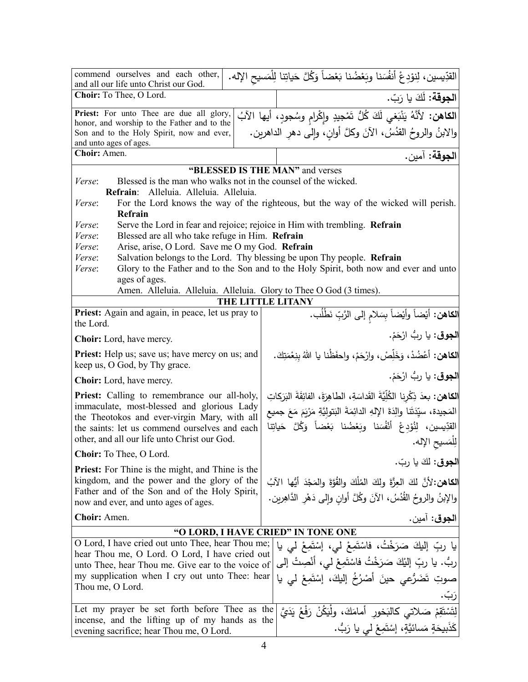| commend ourselves and each other,<br>and all our life unto Christ our God.                                     | القدِّيسين، لِنوْدِعْ أَنفُسَنا وبَعْضُنا بَعْضاً وَكُلَّ حَياتِنا لِلْمَسيحِ الإله.     |  |
|----------------------------------------------------------------------------------------------------------------|------------------------------------------------------------------------------------------|--|
| Choir: To Thee, O Lord.                                                                                        | ا <b>لجوقة:</b> لَكَ يا رَبّ.                                                            |  |
| Priest: For unto Thee are due all glory,                                                                       | ا <b>لكاهن:</b> لأنَّهُ يَنْبَغي لَكَ كُلُّ تَمْجيدٍ وإِكْرامٍ وسُجودٍ، أيها الآبُ       |  |
| honor, and worship to the Father and to the                                                                    |                                                                                          |  |
| Son and to the Holy Spirit, now and ever,                                                                      | والابنُ والروحُ القَدُسُ، الآنَ وكلَّ أوانٍ، وإلى دهرِ الداهرينِ.                        |  |
| and unto ages of ages.<br>Choir: Amen.                                                                         |                                                                                          |  |
|                                                                                                                | ا <b>لجوقة:</b> آمين.                                                                    |  |
|                                                                                                                | "BLESSED IS THE MAN" and verses                                                          |  |
| Blessed is the man who walks not in the counsel of the wicked.<br><i>Verse:</i>                                |                                                                                          |  |
| Refrain: Alleluia. Alleluia. Alleluia.                                                                         |                                                                                          |  |
| Verse:                                                                                                         | For the Lord knows the way of the righteous, but the way of the wicked will perish.      |  |
| Refrain<br>Verse:                                                                                              | Serve the Lord in fear and rejoice; rejoice in Him with trembling. Refrain               |  |
| Blessed are all who take refuge in Him. Refrain<br>Verse:                                                      |                                                                                          |  |
| Arise, arise, O Lord. Save me O my God. Refrain<br>Verse:                                                      |                                                                                          |  |
| Verse:                                                                                                         | Salvation belongs to the Lord. Thy blessing be upon Thy people. Refrain                  |  |
| Verse:                                                                                                         | Glory to the Father and to the Son and to the Holy Spirit, both now and ever and unto    |  |
| ages of ages.                                                                                                  |                                                                                          |  |
| Amen. Alleluia. Alleluia. Alleluia. Glory to Thee O God (3 times).                                             |                                                                                          |  |
|                                                                                                                | THE LITTLE LITANY                                                                        |  |
| Priest: Again and again, in peace, let us pray to                                                              | ا <b>لكاهن:</b> أيْضاً وأيْضاً بِسَلامِ إلى الرَّبِّ نَطْلُب.                            |  |
| the Lord.                                                                                                      |                                                                                          |  |
| <b>Choir:</b> Lord, have mercy.                                                                                | ا <b>لجوق</b> : يا ربُّ ارْحَمْ.                                                         |  |
| <b>Priest:</b> Help us; save us; have mercy on us; and<br>keep us, O God, by Thy grace.                        | ا <b>لكاهن:</b> أعْضُدْ، وَخَلِّصْ، وارْحَمْ، واحفَظْنا يا اللهُ بنِعْمَتِكَ.            |  |
| <b>Choir:</b> Lord, have mercy.                                                                                | ا <b>لجوق</b> : يا ربُ ارْحَمْ.                                                          |  |
| Priest: Calling to remembrance our all-holy,                                                                   | ا <b>لكاهن:</b> بعدَ ذِكْرِنا الكُلِّيَّةَ القَداسَةِ، الطاهِرَةَ، الفائِقَةَ البَرَكاتِ |  |
| immaculate, most-blessed and glorious Lady                                                                     |                                                                                          |  |
| the Theotokos and ever-virgin Mary, with all                                                                   | المَجيدة، سيِّدَتَنا والِدَةَ الإِلهِ الدائِمَةَ البَتولِيَّةِ مَرْيَمَ مَعَ جميع        |  |
| the saints: let us commend ourselves and each                                                                  | القدِّيسين، لِنُوْدِعْ أَنْفُسَنا وبَعْضُنا بَعْضاً وَكُلَّ حَياتِنا                     |  |
| other, and all our life unto Christ our God.                                                                   | لِلْمَسيحِ الإِلهِ.                                                                      |  |
| Choir: To Thee, O Lord.                                                                                        |                                                                                          |  |
|                                                                                                                | ا <b>لجوق:</b> لكَ يا ربّ.                                                               |  |
| <b>Priest:</b> For Thine is the might, and Thine is the<br>kingdom, and the power and the glory of the         | الكاهن:لأنَّ لكَ العِزَّةَ ولكَ المُلْكَ والقُوَّةَ والمَجْدَ أَيُّها الآبُ              |  |
| Father and of the Son and of the Holy Spirit,                                                                  |                                                                                          |  |
| now and ever, and unto ages of ages.                                                                           | والإبنُ والروحُ القُدُسُ، الآنَ وكُلَّ أوان وإلى دَهْرِ الدَّاهِرِينِ.                   |  |
| Choir: Amen.                                                                                                   | الجوق: آمين.                                                                             |  |
| "O LORD, I HAVE CRIED" IN TONE ONE                                                                             |                                                                                          |  |
| O Lord, I have cried out unto Thee, hear Thou me;                                                              | يا ربِّ إليكَ صَرَخْتُ، فاسْتَمِعْ لي، إسْتَمِعْ لي يا                                   |  |
| hear Thou me, O Lord. O Lord, I have cried out                                                                 |                                                                                          |  |
| ربُّ. يا ربِّ إليْكَ صَرَخْتُ فاسْتَمِعْ لي، أَنْصِتْ إلى<br>unto Thee, hear Thou me. Give ear to the voice of |                                                                                          |  |
| my supplication when I cry out unto Thee: hear                                                                 | صوتِ تَضَرُّعي حينَ أَصْرُخُ إِلَيكَ، إِسْتَمِعْ لَي يا                                  |  |
| Thou me, O Lord.                                                                                               |                                                                                          |  |
| Let my prayer be set forth before Thee as the                                                                  |                                                                                          |  |
| incense, and the lifting up of my hands as the                                                                 | لِتَسْتَقِمْ صَلاتي كالدَخور أمامَكَ، ولْيَكُنْ رَفْعُ يَدَيَّ                           |  |
| evening sacrifice; hear Thou me, O Lord.                                                                       | كَذَبِيحَةٍ مَسائيَّةٍ، إِسْتَمِعْ لي يا رَبُّ.                                          |  |
|                                                                                                                |                                                                                          |  |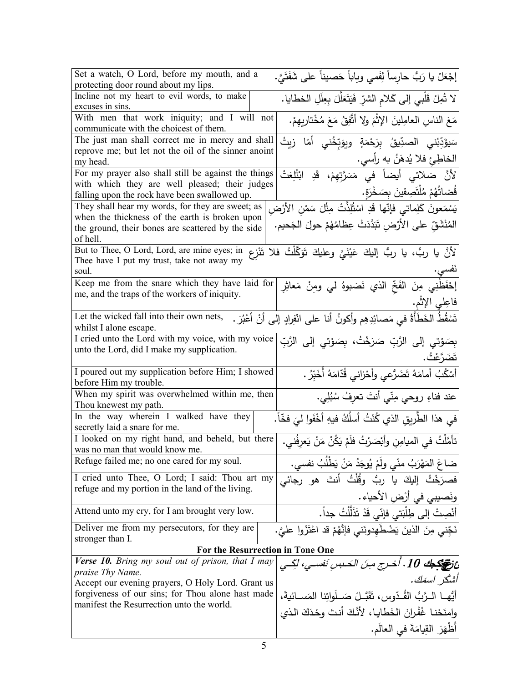| Set a watch, O Lord, before my mouth, and a                                                    | إجْعَلْ يا رَبُّ حارِساً لِفَمي وباباً حَصيناً على شَفَتَىَّ.                  |  |
|------------------------------------------------------------------------------------------------|--------------------------------------------------------------------------------|--|
| protecting door round about my lips.                                                           |                                                                                |  |
| Incline not my heart to evil words, to make<br>excuses in sins.                                | لا تُمِلْ قَلْبي إلى كَلام الشرِّ فَيَتَعَلَّلَ بِعِلَلِ الخطايا.              |  |
| With men that work iniquity; and I will not<br>communicate with the choicest of them.          | مَعَ الناسِ العامِلِينَ الإِثْمَ ولا أتَّفِقُ مَعَ مُخْتارِيهِمْ.              |  |
| The just man shall correct me in mercy and shall                                               |                                                                                |  |
| reprove me; but let not the oil of the sinner anoint                                           | سَيؤَدِّبُني الصدِّيقُ بِرَحْمَةٍ وبِوَبِّخُني أمّا زبِتُ                      |  |
| my head.                                                                                       | الخاطِئِ فلا يُدهَنُ به رأسي.                                                  |  |
| For my prayer also shall still be against the things                                           | لأنَّ صَلاتي أيضاً في مَسَرَّتِهِمْ، قَدِ ابْتُلِعَتْ                          |  |
| with which they are well pleased; their judges                                                 |                                                                                |  |
| falling upon the rock have been swallowed up.                                                  | قُضاتُهُمْ مُلْتَصِقِينَ بِصَخْرَةٍ.                                           |  |
| They shall hear my words, for they are sweet; as                                               | يَسْمَعونَ كَلِماتي فإنّها قَدِ اسْتُلِذَّتْ مِثْلَ سَمْنِ الأَرْضِ            |  |
| when the thickness of the earth is broken upon                                                 | المُنْشَقِّ على الأَرْضِ تَبَدَّدَتْ عِظامُهُمْ حولَ الجَحيم.                  |  |
| the ground, their bones are scattered by the side<br>of hell.                                  |                                                                                |  |
| But to Thee, O Lord, Lord, are mine eyes; in                                                   | لأَنَّ يا ربُّ، يا ربُّ إليكَ عَيْنَيَّ وعليكَ تَوَكَّلْتُ فلا تَنْزِع         |  |
| Thee have I put my trust, take not away my                                                     |                                                                                |  |
| soul.                                                                                          | نفسي.                                                                          |  |
| Keep me from the snare which they have laid for                                                | إِحْفَظْٰنِي مِنَ الفَخِّ الذي نَصَبوهُ لي ومِنْ مَعاثِرِ                      |  |
| me, and the traps of the workers of iniquity.                                                  | فاعِلي الإثْم.                                                                 |  |
| Let the wicked fall into their own nets,                                                       |                                                                                |  |
| whilst I alone escape.                                                                         | تَسْقُطُ الخَطَأَةُ في مَصائِدِهِم وأكونُ أنا على انْفِرادٍ إلى أنْ أعْبُرَ .  |  |
| I cried unto the Lord with my voice, with my voice                                             | بِصَوْتي إِلَى الرَّبِّ صَرَخْتُ، بِصَوْتي إِلى الرَّبِّ                       |  |
| unto the Lord, did I make my supplication.                                                     |                                                                                |  |
|                                                                                                | تَضَرَّعْتُ.                                                                   |  |
| I poured out my supplication before Him; I showed                                              | أَسْكُبُ أَمامَهُ تَضَرُّعي وأَحْزاني قُدّامَهُ أُخَبِّرُ .                    |  |
| before Him my trouble.                                                                         |                                                                                |  |
| When my spirit was overwhelmed within me, then<br>Thou knewest my path.                        | عند فناءِ رو <i>حي مِنّي أنتَ تعرِفُ سُبُلِي.</i>                              |  |
| In the way wherein I walked have they                                                          | في هذا الطَّريقِ الذي كُنْتُ أسلُكُ فيهِ أخْفَوا ليَ فخّاً.                    |  |
| secretly laid a snare for me.                                                                  |                                                                                |  |
| I looked on my right hand, and beheld, but there                                               | تأمَّلْتُ في الميامِنِ وأَبْصَرْتُ فلَمْ يَكُنْ مَنْ يَعِرِفُني.               |  |
| was no man that would know me.                                                                 |                                                                                |  |
| Refuge failed me; no one cared for my soul.                                                    | ضاعَ المَهْرَبُ منّي ولَمْ يُوجَدُ مَنْ يَطْلُبُ نفسى.                         |  |
| I cried unto Thee, O Lord; I said: Thou art my                                                 | فصرَخْتُ إليكَ يا ربُّ وقُلْتُ أنتَ هو رجائى                                   |  |
| refuge and my portion in the land of the living.                                               |                                                                                |  |
| Attend unto my cry, for I am brought very low.                                                 | ونَصيبي في أرْضِ الأحياء.<br>أنْصِتْ إلى طِلْبَتي فإنّي قَدْ تَذَلَّلْتُ جداً. |  |
| Deliver me from my persecutors, for they are                                                   |                                                                                |  |
| stronger than I.                                                                               | نَجِّني مِنَ الذينَ يَضْطَهِدونَني فإنَّهُمْ قد اعْتَزّوا عليَّ.               |  |
| For the Resurrection in Tone One                                                               |                                                                                |  |
| Verse 10. Bring my soul out of prison, that I may                                              | ئ قانچ بك 10 . أخرج مِنَ الحَسِسِ نَفسـى، لكَــى                               |  |
| praise Thy Name.                                                                               | أشكر اسمَكَ.                                                                   |  |
| Accept our evening prayers, O Holy Lord. Grant us                                              |                                                                                |  |
| forgiveness of our sins; for Thou alone hast made<br>manifest the Resurrection unto the world. | أَيُّهــا الــرَّبُّ الْقُـدّوسِ، تَقَبَّــلْ صَــلَواتِنا المَســائيةَ،       |  |
|                                                                                                | وامنَحْنا غُفْرانَ الخَطايا، لأَنَّكَ أنتَ وحْدَكَ الذي                        |  |
|                                                                                                | أَظْهَرَ القِيامَةَ في العالَم.                                                |  |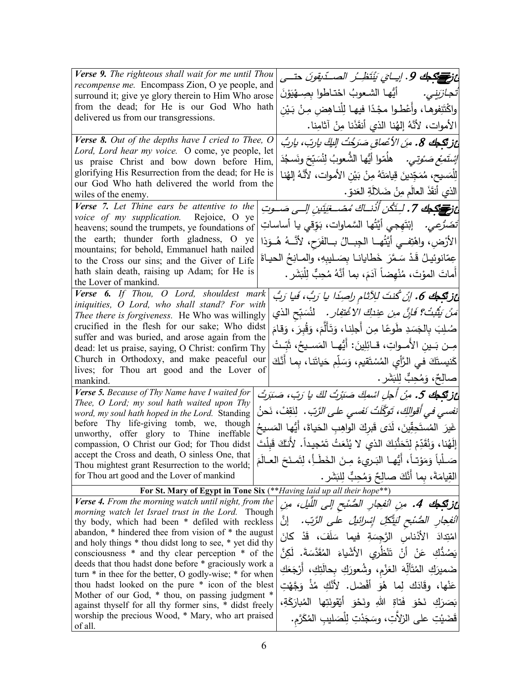| Verse 9. The righteous shall wait for me until Thou                                                          |                                                                                  | ئ تاريخ بن الساقي بُنْتَظِــُر الصـــدّيقونَ حتـــى                        |
|--------------------------------------------------------------------------------------------------------------|----------------------------------------------------------------------------------|----------------------------------------------------------------------------|
| recompense me. Encompass Zion, O ye people, and                                                              |                                                                                  |                                                                            |
| surround it; give ye glory therein to Him Who arose                                                          | أَيُّها الشعوبُ احْتاطوا بصِـهْيَوْنَ                                            | تجازيني.                                                                   |
| from the dead; for He is our God Who hath<br>delivered us from our transgressions.                           |                                                                                  | واكْتَنِفوهـا، وأعْطـوا مجْدًا فيهـا لِلْنـاهِض مِنْ بَـيْن                |
|                                                                                                              |                                                                                  | [الأموات، لأنَّهُ إلهُنا الذي أنقَذَنا مِنْ آثامِنا.                       |
| <b>Verse 8.</b> Out of the depths have I cried to Thee, O                                                    |                                                                                  | غز تكبك 8. مِنَ الأعْماق صَرَخْتُ إليكَ باربّ، باربٌ                       |
| Lord, Lord hear my voice. O come, ye people, let                                                             |                                                                                  | <i>إِسْتَمِعْ صَنُوتَى.</i> هلَمّوا أَيُّها الشُّعوبُ لِنُسَبِّحَ ونَسجُدَ |
| us praise Christ and bow down before Him,<br>glorifying His Resurrection from the dead; for He is            |                                                                                  | لِلْمَسيح، مُمَجّدينَ قِيامَتَهُ مِنْ بَيْنِ الأَموات، لأَنَّهُ إِلهُنا    |
| our God Who hath delivered the world from the                                                                |                                                                                  |                                                                            |
| wiles of the enemy.                                                                                          |                                                                                  | الذي أنقَذَ العالَمِ مِنْ ضَلاَلَةِ العَدقِ.                               |
| Verse 7. Let Thine ears be attentive to the                                                                  | ئ في 1.7 جنوب من الأنساك مُصْبِغِيَّتِين إلــي صَــوتِ                           |                                                                            |
| voice of my supplication. Rejoice, O ye<br>heavens; sound the trumpets, ye foundations of                    | تَ <i>ضَرُّعي.</i> إبْتَهِجي أَيَّتُها السَّماوات، بَوِّقي يا أساساتِ            |                                                                            |
| the earth; thunder forth gladness, O ye                                                                      | الأرْضِ، واهْتِفــي أَيَّتُهـــا الجِبـــالُ بـــالفَرَح، لأنَّـــهُ هُــوَذا    |                                                                            |
| mountains; for behold, Emmanuel hath nailed                                                                  |                                                                                  |                                                                            |
| to the Cross our sins; and the Giver of Life                                                                 | عِمّانوئيلُ قَدْ سَمَّرَ خَطايانـا بِصَـليبِهِ، والمـانِحُ الحيـاةَ              |                                                                            |
| hath slain death, raising up Adam; for He is<br>the Lover of mankind.                                        |                                                                                  | أماتَ المؤتَ، مُنْهضاً آدَمَ، بما أنَّهُ مُحِبٌّ لِلْبَشَرِ .              |
| Verse 6. If Thou, O Lord, shouldest mark                                                                     | غز <b>تَكِطِّ 6.</b> إِنْ كُنتَ لِلِآتَامِ راصِدًا يا رَبُّ، فَيا رَبُّ          |                                                                            |
| iniquities, O Lord, who shall stand? For with                                                                |                                                                                  |                                                                            |
| Thee there is forgiveness. He Who was willingly                                                              | مَ <i>نْ يَثْبُتْ؟ فَإِنَّ مِن عِندِكَ الاغْتِفار .</i> لنُسَبِّح الذي           |                                                                            |
| crucified in the flesh for our sake; Who didst<br>suffer and was buried, and arose again from the            | صُلِبَ بِالجَسَدِ طَوعًا مِن أَجلِنا، وَتَأَلَّمَ، وَقُبِرَ ، وَقامَ             |                                                                            |
| dead: let us praise, saying, O Christ: confirm Thy                                                           | مِــن بَــين الأمــواتِ، قــائِلِينَ: أَيُّهــا المَســيحُ، ثَبِّــتْ            |                                                                            |
| Church in Orthodoxy, and make peaceful our                                                                   | كَنيستَكَ في الرَّأي المُسْتَقيم، وَسَلِّم حَياتَنا، بِما أنَّكَ                 |                                                                            |
| lives; for Thou art good and the Lover of                                                                    |                                                                                  |                                                                            |
| mankind.                                                                                                     |                                                                                  | صالِحٌ، وَمُحِبٌّ لِلبَشَرِ .                                              |
| Verse 5. Because of Thy Name have I waited for<br>Thee, O Lord; my soul hath waited upon Thy                 | غز تكط 5. مِنْ أجلِ اسْمِكَ صَبَرْتُ لكَ يا رَبّ، صَبَرتُ                        |                                                                            |
| word, my soul hath hoped in the Lord. Standing                                                               | نفسي في أقوالِكَ، تَوَكَّلْتُ نَفسي على الرَّبّ.    لِنَقِفْ، نَحنُ              |                                                                            |
| before Thy life-giving tomb, we, though                                                                      | غَيرَ  المُستَحِقِّينَ، لَدَى قَبركَ الواهِبِ الحَياةَ، أَيُّها المَسيحُ         |                                                                            |
| unworthy, offer glory to Thine ineffable                                                                     |                                                                                  |                                                                            |
| compassion, O Christ our God; for Thou didst<br>accept the Cross and death, O sinless One, that              | إِلَهُنا، وَنُقَدِّمْ لِتَحَنُّنِكَ الذي لا يُنْعَتُ تَمْجيداً. لأَنْكَ قَبِلْتَ |                                                                            |
| Thou mightest grant Resurrection to the world;                                                               | صَـلْباً وَمَوْتـاً، أَيُّهـا البَـريءُ مِـنَ الخَطَـاً، لِتَمـنَحَ العـالَمَ    |                                                                            |
| for Thou art good and the Lover of mankind                                                                   |                                                                                  | القِيامَةَ، بما أَنَّكَ صالِحٌ وَمُحِبٌّ لِلبَشَرِ .                       |
| For St. Mary of Egypt in Tone Six (** Having laid up all their hope**)                                       |                                                                                  |                                                                            |
| Verse 4. From the morning watch until night, from the                                                        |                                                                                  | غز تججه 4. منِ انْفِجارِ الصُنْبِح إلى الليل، منِ                          |
| morning watch let Israel trust in the Lord. Though                                                           |                                                                                  |                                                                            |
| thy body, which had been * defiled with reckless                                                             | إِنّ                                                                             | انْفِجارِ الصُّنْبِحِ لَيِتَّكَلِّ إِسْرائِيلُ على الرَّبِّ.               |
| abandon, * hindered thee from vision of * the august                                                         | امْتِدادَ الأَدْناسِ الرَّجِسَةِ فيما سَلَفَ، قَدْ كانَ                          |                                                                            |
| and holy things * thou didst long to see, * yet did thy<br>consciousness * and thy clear perception * of the | يَصُدُّكِ عَنْ أَنْ تَنْظُرِي الأَشْياءَ الْمُقَدَّسَةَ. لَكِنَّ                 |                                                                            |
| deeds that thou hadst done before * graciously work a                                                        |                                                                                  |                                                                            |
| turn $*$ in thee for the better, O godly-wise; $*$ for when                                                  | ضَميرَكِ المُتَأَلِّهَ العَزْمِ، وشُعورَكِ بِحالَتِكِ، أَرْجَعَكِ                |                                                                            |
| thou hadst looked on the pure * icon of the blest                                                            | عَنْها، وقَادَكَ لِما هُوَ أَفْضَلَ. لأَنَّكِ مُذْ وَجَّهْتِ                     |                                                                            |
| Mother of our God, * thou, on passing judgment *                                                             | بَصَرَكٍ نَحْوَ فَتاةِ اللهِ ونَحْوَ أَيْقُونَتِها الْمُبارَكَةِ،                |                                                                            |
| against thyself for all thy former sins, * didst freely                                                      |                                                                                  |                                                                            |
| worship the precious Wood, * Mary, who art praised<br>of all.                                                |                                                                                  | قَضَيْتِ على الزلاّتِ، وسَجَدْتِ لِلْصَليبِ المُكَرِّمِ.                   |
|                                                                                                              |                                                                                  |                                                                            |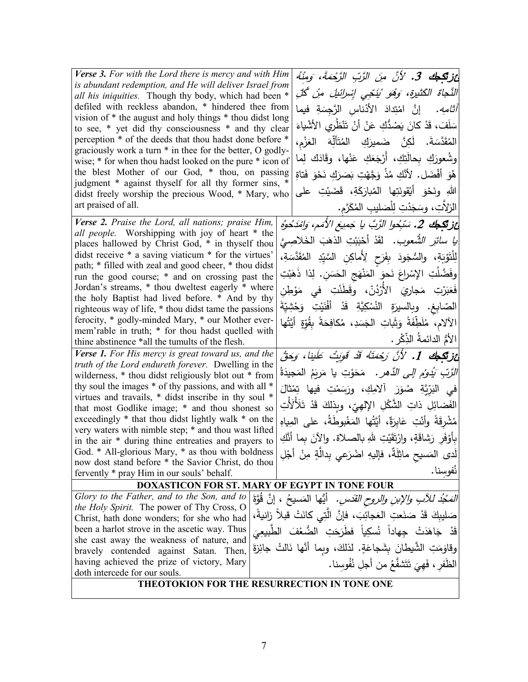| <b>Verse 3.</b> For with the Lord there is mercy and with Him                                                                 | أَعْزِيْكِهِكَ 3. لأَنَّ مِنَ الرَّبِّ الرَّحْمَةَ، وَمِنْهُ             |  |
|-------------------------------------------------------------------------------------------------------------------------------|--------------------------------------------------------------------------|--|
| is abundant redemption, and He will deliver Israel from                                                                       | النَّجاةَ الكَثْيرة، وَهُوَ يُنَجِّي إِسْرائِيلَ مِنْ كُلِّ              |  |
| all his iniquities. Though thy body, which had been *<br>defiled with reckless abandon, * hindered thee from                  |                                                                          |  |
| vision of * the august and holy things * thou didst long                                                                      | إِنَّ امْتِدادَ الأَدْناسِ الرَّجِسَةِ فيما<br>أثامهِ.                   |  |
| to see, * yet did thy consciousness * and thy clear                                                                           | سَلَفَ، قَدْ كانَ يَصُدُّكِ عَنْ أَنْ تَنْظُرِي الأَشْياءَ               |  |
| perception * of the deeds that thou hadst done before *                                                                       | المُقَدَّسَةَ. لَكِنَّ ضَميرَكِ المُتَأَلِّهَ العَزْمِ،                  |  |
| graciously work a turn * in thee for the better, O godly-                                                                     | وشُعورَكِ بحالَتِكِ، أَرْجَعَكِ عَنْها، وقَادَكَ لِما                    |  |
| wise; * for when thou hadst looked on the pure * icon of<br>the blest Mother of our God, * thou, on passing                   | هُوَ أَفْضَل. لأَنَّكِ مُذْ وَجَّهْتِ بَصَرَكِ نَحْوَ فَتاةِ             |  |
| judgment * against thyself for all thy former sins, *                                                                         |                                                                          |  |
| didst freely worship the precious Wood, * Mary, who                                                                           | اللهِ ونَحْوَ أَيْقونَتِها المُبارَكَةِ، قَضَيْتِ على                    |  |
| art praised of all.                                                                                                           | ِ الزِلاَّتِ، وسَجَدْتِ لِلْصَليبِ المُكَرَّمِ.                          |  |
| Verse 2. Praise the Lord, all nations; praise Him,                                                                            | ئز تَكِطِكَ 2. سَبْحوا الرَّبَّ يا جَمِيعَ الأُمَم، وَامْدَحُوهُ         |  |
| <i>all people</i> . Worshipping with joy of heart * the<br>places hallowed by Christ God, * in thyself thou                   | يا س <i>ائِرِ الشُّعوب.</i> لقَدْ أَحْبَبْتِ الذهَبَ الْخَلاصِيَّ        |  |
| didst receive * a saving viaticum * for the virtues'                                                                          | لِلْتَوْبَةِ، والسُّجَودَ بِفَرَحٍ لِأَماكِنِ السَّيِّدِ المُقَدَّسَةِ،  |  |
| path; * filled with zeal and good cheer, * thou didst                                                                         | وفَضَّلْتِ الإِسْراعَ نَحوَ المَنْهَجِ الحَسَنِ. لِذا ذَهَبْتِ           |  |
| run the good course; * and on crossing past the<br>Jordan's streams, * thou dweltest eagerly * where                          |                                                                          |  |
| the holy Baptist had lived before. * And by thy                                                                               | فَعَبَرْتِ مَجارِيَ الأَرْدُنّ، وقَطَنْتِ في مَوْطِنِ                    |  |
| righteous way of life, * thou didst tame the passions                                                                         | الصّابِغ. وبالسيرَةِ النُسْكِيَّةِ قَدْ أَفْنَيْتِ وَحْشِيِّةَ           |  |
| ferocity, * godly-minded Mary, * our Mother ever-                                                                             | الآلامِ، مُلَطِّفَةً وَثَباتِ الجَسَدِ، مُكافِحَةً بِقُوِّةٍ أَيَّتُها   |  |
| mem'rable in truth; * for thou hadst quelled with                                                                             | الأُمُّ الدائمةُ الذِّكْرِ .                                             |  |
| thine abstinence *all the tumults of the flesh.<br><b>Verse 1.</b> For His mercy is great toward us, and the                  |                                                                          |  |
| <i>truth of the Lord endureth forever.</i> Dwelling in the                                                                    | <b>ئزنگجك 1.</b> لأَنَّ رَحْمَتَهُ قَدْ قَونِتُ عَلَينا، وَحَقُّ         |  |
| wilderness, * thou didst religiously blot out * from                                                                          | <i>الرَّبِّ يَدُومُ إلى الدَّهرِ .</i> مَحَوْتِ يا مَريَمُ المَجيدَةُ    |  |
| thy soul the images * of thy passions, and with all *                                                                         | في الْبَرِّيَّةِ صُوَرَ آلامِكِ، ورَسَمْتِ فيها تِمْثَالَ                |  |
| virtues and travails, * didst inscribe in thy soul *<br>that most Godlike image; * and thou shonest so                        | الفَضائِلِ ذاتِ الشَّكْلِ الإِلْهِيِّ، وبِذلكَ قَدْ تَلَأَلَأْتِ         |  |
| exceedingly * that thou didst lightly walk * on the                                                                           | مُشْرِقَةً وأَنْتِ عَابِرَةٌ، أَيَّتُها المَغْبوطَةُ، على المِياهِ       |  |
| very waters with nimble step; * and thou wast lifted                                                                          |                                                                          |  |
| in the air * during thine entreaties and prayers to                                                                           | بِأَوْفَرٍ رَشَاقَةٍ، وَارْتَقَيْتِ للهِ بِالصلاةِ. وَالآنَ بِما أَنَّكِ |  |
| God. * All-glorious Mary, * as thou with boldness<br>now dost stand before * the Savior Christ, do thou                       | لَدى المَسيح ماثِلَةٌ، فإليهِ اضْرَعي بِدالَّةٍ مِنْ أَجْلِ              |  |
| fervently * pray Him in our souls' behalf.                                                                                    | نفوسنا.                                                                  |  |
| <b>DOXASTICON FOR ST. MARY OF EGYPT IN TONE FOUR</b>                                                                          |                                                                          |  |
| Glory to the Father, and to the Son, and to<br><i>المَمْجُدُ للأبِ والإبنِ والروح القدّسِ.</i> أيُّها المَسيحُ ، إنَّ قُوَّةَ |                                                                          |  |
| <i>the Holy Spirit.</i> The power of Thy Cross, O                                                                             | صَليبِكَ قَدْ صَنَعتِ العَجائِبَ، فإنَّ الَّتِى كانَتْ قبلاً زانيةً،     |  |
| Christ, hath done wonders; for she who had<br>been a harlot strove in the ascetic way. Thus                                   |                                                                          |  |
| she cast away the weakness of nature, and                                                                                     | قَدْ جَاهَدَتْ جِهاداً نُسكِياً فطَرَحَتِ الضُّعْفَ الطَّبيعِيَ          |  |
| bravely contended against Satan. Then,                                                                                        | وقاوَمَتِ الشَّيطَانَ بشَجاعَةٍ. لذلكَ، وبِما أنَّها نَالتْ جائِزةَ      |  |
| having achieved the prize of victory, Mary                                                                                    | الظَفرِ ، فَهِيَ تَتَشفَّعُ من أجلِ نُفُوسنا.                            |  |
| doth intercede for our souls.                                                                                                 |                                                                          |  |
| THEOTOKION FOR THE RESURRECTION IN TONE ONE                                                                                   |                                                                          |  |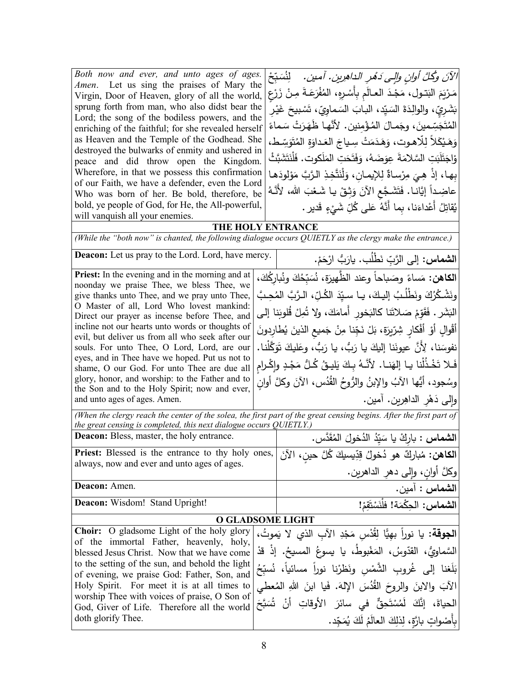| Both now and ever, and unto ages of ages.<br>Amen. Let us sing the praises of Mary the<br>Virgin, Door of Heaven, glory of all the world,<br>sprung forth from man, who also didst bear the<br>Lord; the song of the bodiless powers, and the<br>enriching of the faithful; for she revealed herself<br>as Heaven and the Temple of the Godhead. She<br>destroyed the bulwarks of enmity and ushered in<br>peace and did throw open the Kingdom.<br>Wherefore, in that we possess this confirmation<br>of our Faith, we have a defender, even the Lord<br>Who was born of her. Be bold, therefore, be<br>bold, ye people of God, for He, the All-powerful,<br>will vanquish all your enemies.                                                                                                               | الآنَ وكُلِّ أُوانِ والِّـى دَهْرِ الداهِرِينِ. آمينِ.      لِنُسَبِّحْ<br>مَرْيَمَ البَتـول، مَجْدَ العـالَم بِأَسْرِهِ، المُفْرَعَـةَ مِـنْ زَرْع<br>بَشَرِيِّ، والوالِدَةَ السَيِّد، البـابَ السَماوِيِّ، تَسْبِيحَ غَيْر<br>المُتَجَسِّمينَ، وجَمـالَ المُؤْمِنينِ. لأَنَّهـا ظَهَرَتْ سَماءً<br>وَهَيْكَلاً لِلَّاهوت، وَهَدَمَتْ سِياجَ العَداوَةِ المُتَوَسِّط،<br>وْلِجَتَلَبَتِ السَّلامَةَ عِوَضَهُ، وَفَتَحَتِ المَلَكوتِ. فَلْنَتَشَبَّتْ<br>بِها، إذْ هِيَ مِرْساةٌ لِلإِيمانِ، وَلْنَتَّخِذِ الرَّبَّ مَوْلُودَها<br>عاضِداً إيَّانـا. فَتَشَجَّعِ الآنَ وَثِقْ يـا شَعْبَ الله، لأَنَّهُ<br>يُقاتِلُ أَعْداءَنا، بِما أَنَّهُ عَلى كُلِّ شَيْءٍ قَديرٍ .                                                                                                                                                                                                                                                               |
|-------------------------------------------------------------------------------------------------------------------------------------------------------------------------------------------------------------------------------------------------------------------------------------------------------------------------------------------------------------------------------------------------------------------------------------------------------------------------------------------------------------------------------------------------------------------------------------------------------------------------------------------------------------------------------------------------------------------------------------------------------------------------------------------------------------|---------------------------------------------------------------------------------------------------------------------------------------------------------------------------------------------------------------------------------------------------------------------------------------------------------------------------------------------------------------------------------------------------------------------------------------------------------------------------------------------------------------------------------------------------------------------------------------------------------------------------------------------------------------------------------------------------------------------------------------------------------------------------------------------------------------------------------------------------------------------------------------------------------------------------------------|
|                                                                                                                                                                                                                                                                                                                                                                                                                                                                                                                                                                                                                                                                                                                                                                                                             | THE HOLY ENTRANCE<br>(While the "both now" is chanted, the following dialogue occurs QUIETLY as the clergy make the entrance.)                                                                                                                                                                                                                                                                                                                                                                                                                                                                                                                                                                                                                                                                                                                                                                                                        |
| <b>Deacon:</b> Let us pray to the Lord. Lord, have mercy.                                                                                                                                                                                                                                                                                                                                                                                                                                                                                                                                                                                                                                                                                                                                                   | ا <b>لشماس:</b> إلى الرَّبِّ نَطْلَب. يارَبُّ ارْحَمْ.                                                                                                                                                                                                                                                                                                                                                                                                                                                                                                                                                                                                                                                                                                                                                                                                                                                                                |
| Priest: In the evening and in the morning and at<br>noonday we praise Thee, we bless Thee, we<br>give thanks unto Thee, and we pray unto Thee,<br>O Master of all, Lord Who lovest mankind:<br>Direct our prayer as incense before Thee, and<br>incline not our hearts unto words or thoughts of<br>evil, but deliver us from all who seek after our<br>souls. For unto Thee, O Lord, Lord, are our<br>eyes, and in Thee have we hoped. Put us not to<br>shame, O our God. For unto Thee are due all<br>glory, honor, and worship: to the Father and to<br>the Son and to the Holy Spirit; now and ever,<br>and unto ages of ages. Amen.<br>the great censing is completed, this next dialogue occurs QUIETLY.)<br>Deacon: Bless, master, the holy entrance.<br>always, now and ever and unto ages of ages. | ا <b>لكاهن:</b> مَساءً وصَباحاً وعند الظّهيرَة، نُسَبِّحُكَ ونُباركُكَ،<br>ونَشْكُرُكَ ونَطْلَبُ إليكَ، يـا سبِّدَ الكُـلِّ، الـرَّبَّ المُحِـبَّ<br>النَشَر . فَقَوّمْ صَلاتَنا كالنَخور أمامَكَ، ولا تُمِلْ قُلوبَنا إلى<br>أَقُوالٍ أَوْ أَفْكَارٍ شِرِّيرَةٍ، بَلْ نَجِّنا مِنْ جَميعِ الذينَ يُطَارِدونَ<br>نفوسَنا، لِأَنَّ عيونَنا إليكَ يا رَبُّ، يا رَبُّ، وعَليكَ تَوَكَّلْنا.<br>فَـلا تَخْـذُلْنا يـا إلهَنـا. لأنَّـهُ بِـكَ يَليـقُ كُـلُّ مَجْـدٍ وإكْـرامِ<br>وسُجود، أَيُّها الآبُ والإبنُ والرُّوحُ القُدُسِ، الآنَ وكلَّ أُوانِ<br>وإلى دَهْرِ الداهِرِينِ. أَمينِ.<br>(When the clergy reach the center of the solea, the first part of the great censing begins. After the first part of<br>ا <b>لشماس :</b> بارِكْ يا سَيِّدُ الدُخولَ المُقَدَّس.<br><b>Priest:</b> Blessed is the entrance to thy holy ones, الآنّ Priest: Blessed is the entrance to thy holy ones, الآنّ<br>وكلَّ أُوان، وإلى دهر الداهرين. |
| Deacon: Amen.                                                                                                                                                                                                                                                                                                                                                                                                                                                                                                                                                                                                                                                                                                                                                                                               | الشماس : آمين.                                                                                                                                                                                                                                                                                                                                                                                                                                                                                                                                                                                                                                                                                                                                                                                                                                                                                                                        |
| Deacon: Wisdom! Stand Upright!                                                                                                                                                                                                                                                                                                                                                                                                                                                                                                                                                                                                                                                                                                                                                                              | الشماس: الحِكْمَة! فلْنَسْتَقِمْ!                                                                                                                                                                                                                                                                                                                                                                                                                                                                                                                                                                                                                                                                                                                                                                                                                                                                                                     |
| <b>Choir:</b> O gladsome Light of the holy glory<br>of the immortal Father, heavenly, holy,<br>blessed Jesus Christ. Now that we have come                                                                                                                                                                                                                                                                                                                                                                                                                                                                                                                                                                                                                                                                  | <b>O GLADSOME LIGHT</b><br>ا <b>لجوقة:</b> يا نوراً بهيًّا لِقُدْس مَجْدِ الآبِ الذي لا يَموتُ،<br>السَّماويُّ، القدّوسُ، المَغْبوطُ، يا يسوعُ المسيحُ. إذْ قدْ                                                                                                                                                                                                                                                                                                                                                                                                                                                                                                                                                                                                                                                                                                                                                                       |
| to the setting of the sun, and behold the light<br>of evening, we praise God: Father, Son, and<br>Holy Spirit. For meet it is at all times to<br>worship Thee with voices of praise, O Son of                                                                                                                                                                                                                                                                                                                                                                                                                                                                                                                                                                                                               | بَلَغنا إلى غُروبٍ الشَّمْسِ ونَظرْنا نوراً مسائياً، نُسبِّحُ<br>الآبَ والابنَ والروحَ القُدُسَ الإِلهَ. فَيا ابنَ اللهِ المُعطى                                                                                                                                                                                                                                                                                                                                                                                                                                                                                                                                                                                                                                                                                                                                                                                                      |
| God, Giver of Life. Therefore all the world<br>doth glorify Thee.                                                                                                                                                                                                                                                                                                                                                                                                                                                                                                                                                                                                                                                                                                                                           | الحياةَ، إنَّكَ لَمُسْتَحِقٌّ في سائرَ الأوقاتِ أنْ شُبَّحَ<br>بِأَصْواتٍ بارَّةٍ، لِذَلِكَ العالَمُ لَكَ يُمَجِّد.                                                                                                                                                                                                                                                                                                                                                                                                                                                                                                                                                                                                                                                                                                                                                                                                                   |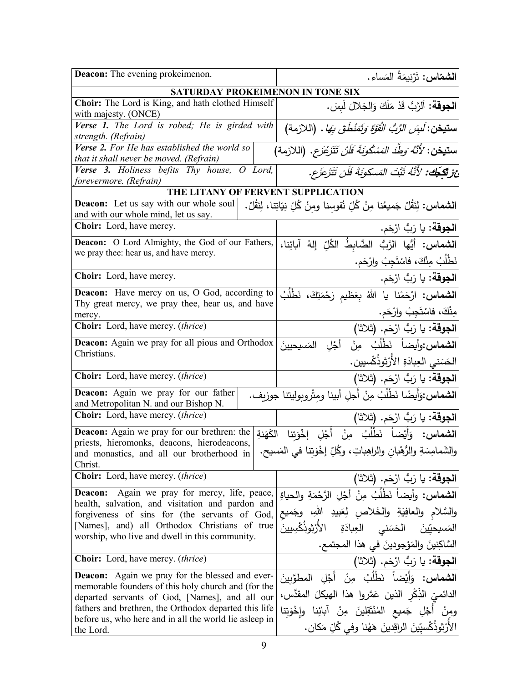| <b>Deacon:</b> The evening prokeimenon.                                                                          |  | ا <b>لشماس:</b> تَرْنِيمَةُ المَساء.                                                 |  |
|------------------------------------------------------------------------------------------------------------------|--|--------------------------------------------------------------------------------------|--|
| SATURDAY PROKEIMENON IN TONE SIX                                                                                 |  |                                                                                      |  |
| Choir: The Lord is King, and hath clothed Himself<br>with majesty. (ONCE)                                        |  | ا <b>لجوقة:</b> اَلرَّبُّ قَدْ مَلَكَ وَالجَلالَ لَبِسَ.                             |  |
| Verse 1. The Lord is robed; He is girded with<br>strength. (Refrain)                                             |  | س <b>تيخن</b> : <i>لَبِسَ الزَّبُ القُوَّةِ وَتَمَنْطُقَ بِهَا</i> . (اللازمة)       |  |
| Verse 2. For He has established the world so<br>that it shall never be moved. (Refrain)                          |  | <b>ستيغن:</b> 'لأَنَّهُ وَطَّدَ <i>المَسْكُونَةَ فَلَنْ تَتَزَعْزَع</i> . (اللازمة)  |  |
| Verse 3. Holiness befits Thy house, O Lord,                                                                      |  | عْزِيْكَجُكَ: لأَنَّهُ ثَبَّتَ المَسكونَةَ فَلَن تَتَزَعَزَع.                        |  |
| forevermore. (Refrain)                                                                                           |  |                                                                                      |  |
|                                                                                                                  |  | THE LITANY OF FERVENT SUPPLICATION                                                   |  |
| <b>Deacon:</b> Let us say with our whole soul<br>and with our whole mind, let us say.                            |  | ا <b>لشماس:</b> لِنَقُلْ جَميعُنا مِنُ كُلِّ نُفوسنا ومنْ كُلِّ نِيّاتِنا، لِنَقُلْ. |  |
| Choir: Lord, have mercy.                                                                                         |  | ا <b>لجوقة:</b> يا رَبُّ ارْحَم.                                                     |  |
| Deacon: O Lord Almighty, the God of our Fathers,                                                                 |  | الشماس: أَيُّها الرَّبُّ الضَّابِطُ الكِّلِّ إِلهُ آبائِنا،                          |  |
| we pray thee: hear us, and have mercy.                                                                           |  | نَطْلُبُ مِنْكَ، فاسْتَجِبْ وارْحَم.                                                 |  |
| Choir: Lord, have mercy.                                                                                         |  | <b>الجوقة:</b> يا رَبُّ ارْحَم.                                                      |  |
| <b>Deacon:</b> Have mercy on us, O God, according to                                                             |  | <b>الشماس:</b> ارْحَمْنا يا اللهُ بعَظيم رَحْمَتِكَ، نَطْلُبُ                        |  |
| Thy great mercy, we pray thee, hear us, and have<br>mercy.                                                       |  | مِنْكَ، فاسْتَجِبْ وارْحَم.                                                          |  |
| Choir: Lord, have mercy. (thrice)                                                                                |  | الجوقة: يا رَبُ ارْحَم. (ثلاثا)                                                      |  |
| <b>Deacon:</b> Again we pray for all pious and Orthodox                                                          |  | ا <b>لشماس:</b> وأيضاً نَطْلُبُ مِنْ أَجْل<br>المَسبحبينَ                            |  |
| Christians.                                                                                                      |  | الحَسَني العِبادَةِ الأَرْثوذُكْسيين.                                                |  |
| Choir: Lord, have mercy. (thrice)                                                                                |  | ا <b>لجوقة:</b> يا رَبُّ ارْحَم. (ثلاثا)                                             |  |
| Deacon: Again we pray for our father<br>and Metropolitan N. and our Bishop N.                                    |  | ا <b>لشماس:</b> وَأَيضًا نَطْلُبُ مِنْ أَجلِ أبينا ومثْروبوليتنا جوزيف.              |  |
| <b>Choir:</b> Lord, have mercy. (thrice)                                                                         |  | الجوقة: يا رَبُّ ارْحَم. (ثلاثا)                                                     |  |
| <b>Deacon:</b> Again we pray for our brethren: the                                                               |  | ا <b>لشماس:</b> وَأَيْضاً نَطْلُبُ مِنْ أَجْلِ إخْوَتنا الكَهَنةِ                    |  |
| priests, hieromonks, deacons, hierodeacons,<br>and monastics, and all our brotherhood in<br>Christ.              |  | والشَمامِسَةِ والرُّهْبانِ والراهِباتِ، وكُلِّ إخْوَتِنا في المَسيحِ.                |  |
| Choir: Lord, have mercy. (thrice)                                                                                |  | ا <b>لجوقة:</b> يا رَبُّ ارْحَم. (ثلاثا)                                             |  |
| Again we pray for mercy, life, peace,<br><b>Deacon:</b>                                                          |  | <b>الشماس:</b> وأيضاً نَطْلُبُ مِنْ أَجْلِ الرَّحْمَةِ والحياةِ                      |  |
| health, salvation, and visitation and pardon and                                                                 |  | والسَّلام والعافِيَةِ والخَلاص لِعَبيدِ اللهِ، وجَميع                                |  |
| forgiveness of sins for (the servants of God,                                                                    |  |                                                                                      |  |
| [Names], and) all Orthodox Christians of true<br>worship, who live and dwell in this community.                  |  | المَسيحيّينَ الحَسَنى العِبادَةِ الأَرْثوذُكْسِيينَ                                  |  |
|                                                                                                                  |  | السَّاكِنينَ والمَوْجودينَ في هذا المجتمع.                                           |  |
| Choir: Lord, have mercy. (thrice)                                                                                |  | ا <b>لجوقة:</b> يا رَبُّ ارْحَم. (ثلاثا)                                             |  |
| <b>Deacon:</b> Again we pray for the blessed and ever-                                                           |  | <b>الشماس:</b> وَأَيْضاً نَطْلُبُ مِنْ أَجْل المطوَّبينَ                             |  |
| memorable founders of this holy church and (for the                                                              |  | الدائميّ الذِّكْر الذين عَمَّروا هذا الهيكلَ المقدَّس،                               |  |
| departed servants of God, [Names], and all our                                                                   |  |                                                                                      |  |
| fathers and brethren, the Orthodox departed this life<br>before us, who here and in all the world lie as leep in |  | ومِنْ أَجْلِ جَميعِ الْمُنْتَقِلِينَ مِنْ آبائِنا وإِخْوَتِنا                        |  |
| the Lord.                                                                                                        |  | الأَرْثُوذَكْسيِّينَ الراقِدينَ هَهُنا وفي كُلِّ مَكان.                              |  |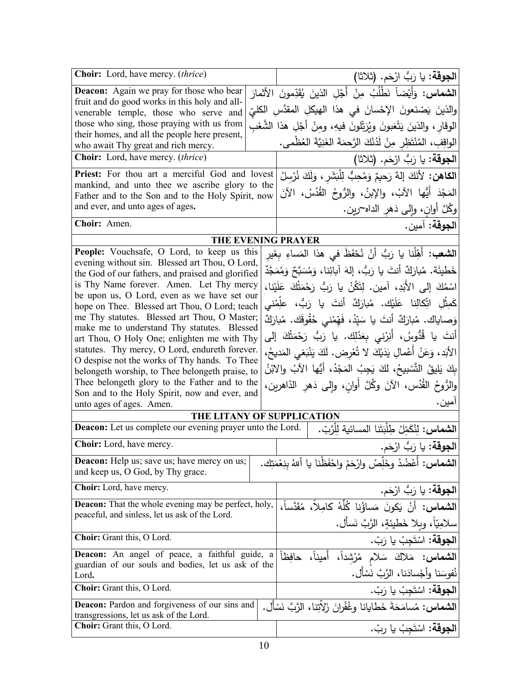| Choir: Lord, have mercy. (thrice)                                                                   | ا <b>لجوقة:</b> يا رَبُّ ارْحَم. (ثلاثا)                                    |  |
|-----------------------------------------------------------------------------------------------------|-----------------------------------------------------------------------------|--|
| Deacon: Again we pray for those who bear                                                            | <b>الشماس:</b> وَأَيْضاً نَطْلُبُ مِنْ أَجْلِ الذينَ يُقَدِّمونَ الأَثمارَ  |  |
| fruit and do good works in this holy and all-<br>venerable temple, those who serve and              | والذينَ يَصْنَعونَ الإِحْسانَ في هذا الهيكلِ المقدَّسِ الكليِّ              |  |
| those who sing, those praying with us from                                                          | الوقار ، والذينَ يَتْعَبونَ ويُرَتِّلونَ فيهِ، ومِنْ أَجْلِ هذا الشَّعْبِ   |  |
| their homes, and all the people here present,                                                       | الواقِفِ، المُنْتَظِرِ مِنْ لَدُنْكَ الرَّحمَةَ الغَنِيَّةَ العُظْمى.       |  |
| who await Thy great and rich mercy.<br>Choir: Lord, have mercy. (thrice)                            |                                                                             |  |
|                                                                                                     | الجوقة: يا رَبُّ ارْحَم. (ثلاثا)                                            |  |
| Priest: For thou art a merciful God and lovest<br>mankind, and unto thee we ascribe glory to the    | ا <b>لكاهن:</b> لأَنَكَ إلهٌ رَحِيمٌ وَمُحِبٌّ لِلْبَشَرِ ، وَلَكَ نُرْسِلُ |  |
| Father and to the Son and to the Holy Spirit, now                                                   | المَجْدَ أَيُّها الآبُ، والإِبنُ، والرُّوحُ القُدُسُ، الآنَ                 |  |
| and ever, and unto ages of ages.                                                                    | وكُلَّ أُوانٍ، وإِلَى دَهْرِ الداه~رينِ.                                    |  |
| Choir: Amen.                                                                                        | ا <b>لجوقة:</b> آمين.                                                       |  |
| THE EVENING PRAYER                                                                                  |                                                                             |  |
| People: Vouchsafe, O Lord, to keep us this                                                          | <b>الشعب:</b> أَهِّلْنا يا رَبُّ أَنْ نُحْفَظَ في هذا المَساءِ بِغَير       |  |
| evening without sin. Blessed art Thou, O Lord,<br>the God of our fathers, and praised and glorified | خَطيئَة. مُبارَكٌ أنتَ يا رَبُّ، إلهَ آبائِنا، وَمُسَبَّحٌ وَمُمَجَّدٌ      |  |
| is Thy Name forever. Amen. Let Thy mercy                                                            | اسْمُكَ إِلَى الأَبَدِ، آمين. لِتَكُنْ يا رَبُّ رَحْمَتُكَ عَلَيْنا،        |  |
| be upon us, O Lord, even as we have set our<br>hope on Thee. Blessed art Thou, O Lord; teach        | كَمِثْلِ اتِّكالِنا عَلَيْك. مُبارَكٌ أنتَ يا رَبُّ، علِّمْنى               |  |
| me Thy statutes. Blessed art Thou, O Master;                                                        | وَصاياك. مُبارَكٌ أنتَ يا سَيّدُ، فَهّمْني حُقُوقَك. مُبارَكٌ               |  |
| make me to understand Thy statutes. Blessed                                                         |                                                                             |  |
| art Thou, O Holy One; enlighten me with Thy<br>statutes. Thy mercy, O Lord, endureth forever.       | أَنتَ يا قُدُّوسُ، أَنِرْنى بِعَدْلِك. يا رَبُّ رَحْمَتُكَ إلى              |  |
| O despise not the works of Thy hands. To Thee                                                       | الأَبَد، وَعَنْ أَعْمالِ يَدَيْكَ لا تُعْرِض. لَكَ يَنْبَغي المَديحُ،       |  |
| belongeth worship, to Thee belongeth praise, to                                                     | بِكَ يَلِيقُ التَّسْبِيحُ، لِكَ يَجِبُ المَجْدُ، أَيُّها الآبُ والابْنُ     |  |
| Thee belongeth glory to the Father and to the<br>Son and to the Holy Spirit, now and ever, and      | والرُّوحُ القُدُسِ، الآنَ وكُلَّ أُوانٍ، وإِلَى دَهْرِ الدَّاهْرِينِ،       |  |
| unto ages of ages. Amen.                                                                            | امين.                                                                       |  |
| THE LITANY OF SUPPLICATION                                                                          |                                                                             |  |
| Deacon: Let us complete our evening prayer unto the Lord.                                           | ا <b>لشماس:</b> لِنُكَمِّلْ طِلْبَتَنا المسائية لِلْرَّبِّ.                 |  |
| Choir: Lord, have mercy.                                                                            | ا <b>لجوقة:</b> يا رَبُّ ارْحَم.                                            |  |
| <b>Deacon:</b> Help us; save us; have mercy on us;                                                  | ا <b>لشماس:</b> أعْضُدْ وخَلِّصْ وارْحَمْ واحْفَظْنا يا أللهُ بنِعْمَتِك.   |  |
| and keep us, O God, by Thy grace.                                                                   |                                                                             |  |
| Choir: Lord, have mercy.                                                                            | <b>الجوقة:</b> يا رَبُّ ارْحَم.                                             |  |
| <b>Deacon:</b> That the whole evening may be perfect, holy,                                         | ا <b>لشماس:</b> أَنْ يَكونَ مَساؤُنِا كُلُّهُ كامِلاً، مُقَّدَّساً،         |  |
| peaceful, and sinless, let us ask of the Lord.                                                      | سلامِيّاً، وبلا خَطيئةٍ، الرَّبَّ نَسأل.                                    |  |
| Choir: Grant this, O Lord.                                                                          | ا <b>لجوقة:</b> اسْتَجِبْ يا رَبّ.                                          |  |
| Deacon: An angel of peace, a faithful guide, a                                                      | ا <b>لشماس:</b> مَلاكَ سَلام مُرْشِداً، أميناً، حافِظاً                     |  |
| guardian of our souls and bodies, let us ask of the<br>Lord.                                        | نُفوسَنا وأجْسادَنا، الرَّبَّ نَسْأَل.                                      |  |
| Choir: Grant this, O Lord.                                                                          | ا <b>لجوقة:</b> اسْتَجِبْ يا رَبّ.                                          |  |
| <b>Deacon:</b> Pardon and forgiveness of our sins and                                               | ا <b>لشماس:</b> مُسامَحَةَ خَطايانا وغُفْرانَ زَلِاّتِنا، الرَّبَّ نَسْأَل. |  |
| transgressions, let us ask of the Lord.<br>Choir: Grant this, O Lord.                               |                                                                             |  |
|                                                                                                     | ا <b>لجوقة:</b> اسْتَجِبْ يا ربّ.                                           |  |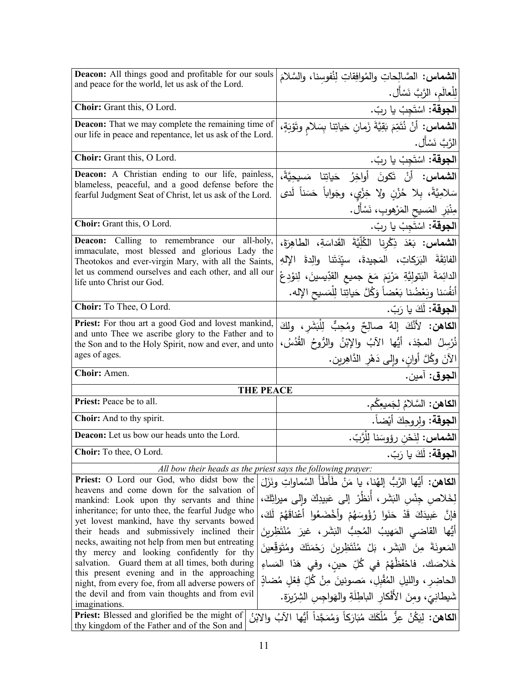| <b>Deacon:</b> All things good and profitable for our souls                                                    | ا <b>لشماس:</b> الصَّالِحاتِ والمُوافِقاتِ لِنُفوسنا، والسَّلامَ                     |
|----------------------------------------------------------------------------------------------------------------|--------------------------------------------------------------------------------------|
| and peace for the world, let us ask of the Lord.                                                               | لِلْعالَم، الرَّبَّ نَسْأَل.                                                         |
| Choir: Grant this, O Lord.                                                                                     |                                                                                      |
|                                                                                                                | ا <b>لجوقة:</b> اسْتَجِبْ يا ربّ.                                                    |
| <b>Deacon:</b> That we may complete the remaining time of                                                      | الشَّماس: أَنْ نُتَمِّمَ بَقِيَّةَ زَمانِ حَياتِنا بِسَلامٍ وتَوْبَةٍ،               |
| our life in peace and repentance, let us ask of the Lord.                                                      | الرَّبَّ نَسْأَل.                                                                    |
| Choir: Grant this, O Lord.                                                                                     | ا <b>لجوقة:</b> اسْتَجِبْ يا ربّ.                                                    |
| Deacon: A Christian ending to our life, painless,                                                              | ا <b>لشماس:</b> أَنْ تَكونَ أَواخِرُ حَياتِنا مَسيحِيَّةً،                           |
| blameless, peaceful, and a good defense before the<br>fearful Judgment Seat of Christ, let us ask of the Lord. | سَلامِيَّةً، بِلا حُزْنِ ولا خِزْيٍ، وجَواباً حَسَناً لَدى                           |
|                                                                                                                | مِنْبَر المَسيح المَرْهوبِ، نَسْأَل.                                                 |
| Choir: Grant this, O Lord.                                                                                     | ا <b>لجوقة:</b> اسْتَجِبْ يا ربّ.                                                    |
| <b>Deacon:</b> Calling to remembrance our all-holy,                                                            | ا <b>لشماس:</b> بَعْدَ ذِكْرِنا الكُلِّيَّةَ القَداسَةِ، الطاهِرَةَ،                 |
| immaculate, most blessed and glorious Lady the<br>Theotokos and ever-virgin Mary, with all the Saints,         | الفائِقَةَ البَرَكاتِ، المَجيدةَ، سيّدَتَنا والِدةَ الإِلهِ                          |
| let us commend ourselves and each other, and all our                                                           | الدائِمَةَ البَتولِيَّةِ مَرْيَمَ مَعَ جميع القدِّيسينَ، لِنوْدِعْ                   |
| life unto Christ our God.                                                                                      | أَنفُسَنا وبَعْضُنا بَعْضاً وَكُلَّ حَياتِنا لِلْمَسيح الإله.                        |
| Choir: To Thee, O Lord.                                                                                        | ا <b>لجوقة:</b> لَكَ يا رَبّ.                                                        |
| Priest: For thou art a good God and lovest mankind,                                                            | ا <b>لكاهن:</b> لأنَّكَ إلهٌ صالِحٌ ومُحِبٌّ لِلْبَشَرِ، ولكَ                        |
| and unto Thee we ascribe glory to the Father and to                                                            |                                                                                      |
| the Son and to the Holy Spirit, now and ever, and unto                                                         | نُرْسِلُ المجْدَ، أيُّها الآبُ والإِبْنُ والرُّوحُ القُدُسُ،                         |
| ages of ages.                                                                                                  | الآنَ وكُلَّ أُوانٍ، وإِلَى دَهْرِ الدَّاهِرِينِ.                                    |
| Choir: Amen.                                                                                                   | ا <b>لجوق</b> : آمين.                                                                |
| <b>THE PEACE</b>                                                                                               |                                                                                      |
| Priest: Peace be to all.                                                                                       | ا <b>لكاهن:</b> السَّلامُ لِجَميعِكُم.                                               |
| Choir: And to thy spirit.                                                                                      | ا <b>لجوقة</b> : ولروحِكَ أيْضاً.                                                    |
| Deacon: Let us bow our heads unto the Lord.                                                                    | ا <b>لشماس:</b> لِنَحْنِ رؤوسَنا لِلْرَّبِّ.                                         |
| Choir: To thee, O Lord.                                                                                        | ا <b>لجوقة:</b> لَكَ يا رَبّ.                                                        |
| All bow their heads as the priest says the following prayer:                                                   |                                                                                      |
| Priest: O Lord our God, who didst bow the                                                                      | ا <b>لكاهن:</b> أَيُّها الرَّبُّ إلهُنا، يا مَنْ طَأطَأَ السَّماواتِ ونَزَلَ         |
| heavens and come down for the salvation of                                                                     | لِخَلاص جِنْس البَشَرِ ، أنظَرْ إلى عَبيدِكَ وإلى ميراثِكَ،                          |
| mankind: Look upon thy servants and thine<br>inheritance; for unto thee, the fearful Judge who                 |                                                                                      |
| yet lovest mankind, have thy servants bowed                                                                    | فَإِنَّ عَبِيدَكَ قَدْ حَنَوا رُؤُوسَهُمْ وأَخْضَعُوا أَعْناقَهُمْ لَكَ،             |
| their heads and submissively inclined their                                                                    | أَيُّها القاضي المَهيبُ المُحِبُّ النِّشَرِ ،غيرَ مُنْتَظِرِينَ                      |
| necks, awaiting not help from men but entreating                                                               | الْمَعُونَةَ مِنَ الْبَشَرِ، بَلْ مُنْتَظِرِينَ رَحْمَتَكَ ومُتَوَقِّعِينَ           |
| thy mercy and looking confidently for thy<br>salvation. Guard them at all times, both during                   | خَلاصَكَ. فاحْفَظْهُمْ في كُلِّ حين، وفي هَذا المَساءِ                               |
| this present evening and in the approaching                                                                    |                                                                                      |
| night, from every foe, from all adverse powers of                                                              | الحاضِرِ ، والليلِ المُقْبِلِ، مَصونينَ مِنْ كُلِّ فِعْلِ مُضادٍّ                    |
| the devil and from vain thoughts and from evil                                                                 | شَيطانِيّ، ومِنَ الأَفْكارِ الباطِلَةِ والهَواجِسِ الشِرّيرَةِ.                      |
| imaginations.                                                                                                  |                                                                                      |
| <b>Priest:</b> Blessed and glorified be the might of                                                           | ا <b>لكاهن:</b> ليَكُنْ عِزُّ مُلْكَكَ مُبَارَكاً وَمُمَجَّداً أيُّها الآبُ والابْنُ |
| thy kingdom of the Father and of the Son and                                                                   |                                                                                      |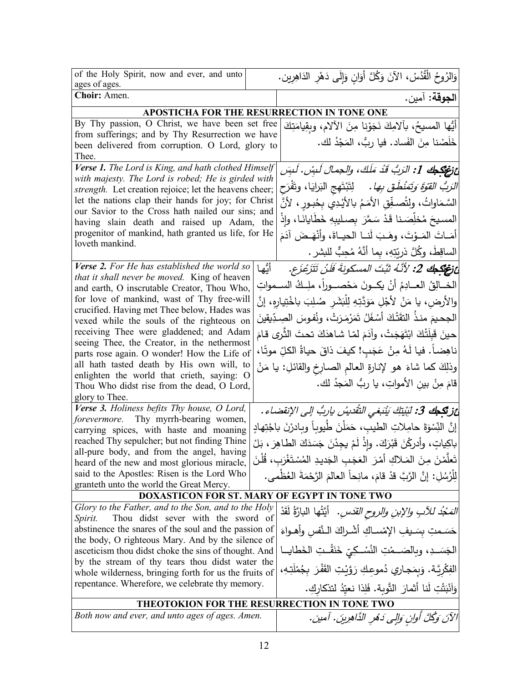| of the Holy Spirit, now and ever, and unto                                                                |         | وَالرُوحُ الْقُدُسْ، الآنَ وَكُلَّ أَوَانٍ وَإِلَى دَهْرِ الذَاهِرِينِ.            |  |
|-----------------------------------------------------------------------------------------------------------|---------|------------------------------------------------------------------------------------|--|
| ages of ages.<br>Choir: Amen.                                                                             |         |                                                                                    |  |
|                                                                                                           |         | ا <b>لجوقة:</b> آمين.                                                              |  |
|                                                                                                           |         | APOSTICHA FOR THE RESURRECTION IN TONE ONE                                         |  |
| By Thy passion, O Christ, we have been set free                                                           |         | أَيُّها المسيحُ، بِأَلامِكَ نَجَوْنا مِنَ الآلامِ، وبِقِيامَتِكَ                   |  |
| from sufferings; and by Thy Resurrection we have<br>been delivered from corruption. O Lord, glory to      |         | خَلَصْنا مِنَ الفَساد. فيا رِبٌ، المَجْدُ لك.                                      |  |
| Thee.                                                                                                     |         |                                                                                    |  |
| Verse 1. The Lord is King, and hath clothed Himself                                                       |         | عْ نَوْتِكِكَ 1: النَرِبُّ قَدْ مَلَكَ، والجمالَ لَبِسْ. لَبِسَ                    |  |
| with majesty. The Lord is robed; He is girded with                                                        |         |                                                                                    |  |
| strength. Let creation rejoice; let the heavens cheer;                                                    |         | <i>الرَبُّ القوَّةَ وَتَمَنْطُقْ بِها.</i> لِتَبْتَهِج البَرايَا، وتَفْرَح         |  |
| let the nations clap their hands for joy; for Christ                                                      |         | السَّمَاواتُ، ولتُصفِّقِ الأُمَمُ بالأَيْدِي بِخُبورٍ ، لأَنَّ                     |  |
| our Savior to the Cross hath nailed our sins; and                                                         |         |                                                                                    |  |
| having slain death and raised up Adam, the                                                                |         | المسيحَ مُخلِّصَنا قَدْ سَمَّرَ بِصليبِهِ خَطَايانَـا، وإِذْ                       |  |
| progenitor of mankind, hath granted us life, for He<br>loveth mankind.                                    |         | أَمَــاتَ المَــوْتَ، وهَــبَ لَنــا الـحيــاةَ، وأَنْهَــضَ آدَمَ                 |  |
|                                                                                                           |         | الساقِطَ، وكُلَّ ذريّتِهِ، بما أنَّهُ مُحِبٌّ للبشر .                              |  |
| Verse 2. For He has established the world so                                                              | أَيُّها | عْ نَوْتَكِيجُكَ 2: لأَنَّهُ ثَبَّتَ المسكونةَ فَلَنْ تَتَزَعْزَع.                 |  |
| that it shall never be moved. King of heaven<br>and earth, O inscrutable Creator, Thou Who,               |         | الخـــالِقُ الـعــادِمُ أَنْ يكــونَ مَحْصـــوراً، ملِــكُ الســمواتِ              |  |
| for love of mankind, wast of Thy free-will                                                                |         | والأرض، يا مَنْ لأَجْلِ مَوَدَّتِهِ لِلْبَشَرِ صُلِبَ باخْتِيارِهِ، إِنَّ          |  |
| crucified. Having met Thee below, Hades was<br>vexed while the souls of the righteous on                  |         | الجحيمَ منذُ التقَتْكَ أَسْفَلُ تَمَرْمَرَتْ، ونُفوسَ الصِدِّيقينَ                 |  |
| receiving Thee were gladdened; and Adam                                                                   |         |                                                                                    |  |
| seeing Thee, the Creator, in the nethermost                                                               |         | حينَ قَبِلَتْكَ ابْتَهَجَتْ، وآدَمَ لمّا شاهدَكَ تحتَ الثُّرى قامَ                 |  |
| parts rose again. O wonder! How the Life of                                                               |         | ناهِضاً. فيا لَهُ مِنْ عَجَبِ! كيفَ ذاقَ حياةُ الكلِّ موتًا،                       |  |
| all hath tasted death by His own will, to                                                                 |         | وذلِكَ كما شاءَ هو لإنارةِ العالمِ الصارِخِ والقائلِ: يا مَنْ                      |  |
| enlighten the world that crieth, saying: O<br>Thou Who didst rise from the dead, O Lord,                  |         | قامَ مِنْ بينِ الأمواتِ، يا رِبُّ المَجدُ لك.                                      |  |
| glory to Thee.                                                                                            |         |                                                                                    |  |
| Verse 3. Holiness befits Thy house, O Lord,                                                               |         | لئز لكعك 3: لَبِيْتِكَ يَنْبَغي التَّقْدِيسُ يارِبُ إلى الإنقضاء .                 |  |
| Thy myrrh-bearing women,<br>forevermore.                                                                  |         |                                                                                    |  |
| carrying spices, with haste and moaning                                                                   |         | إنَّ النِّسْوَةَ حامِلاتِ الطيبِ، حَمَلْنَ طُيوباً وبِادرْنَ باجْتِهادٍ            |  |
| reached Thy sepulcher; but not finding Thine<br>all-pure body, and from the angel, having                 |         | باكِياتٍ، وأدركْنَ قَبْرَكَ. وإِذْ لَمْ يجِدْنَ جَسَدَكَ الطاهِرَ ، بَلْ           |  |
| heard of the new and most glorious miracle,                                                               |         | تَعلَّمْنَ مِنَ الْمَـلاكِ أَمْرَ الْعَجَبِ الْجَدِيدِ الْمُسْتَغْرَبِ، قُلْنَ     |  |
| said to the Apostles: Risen is the Lord Who                                                               |         | لِلْرُسُلِ: إِنَّ الرَّبَّ قَدْ قَامَ، مانِحاً العالمَ الرَّحْمَةَ العُظْمي.       |  |
| granteth unto the world the Great Mercy.                                                                  |         |                                                                                    |  |
| DOXASTICON FOR ST. MARY OF EGYPT IN TONE TWO                                                              |         |                                                                                    |  |
| Glory to the Father, and to the Son, and to the Holy                                                      |         | <i>التَّمَّدُ للآبِ والإبنِ والروحِ القَدَّسِ.</i> ۚ أَيَّتُهَا الْبَارَّةُ لَقَدْ |  |
| Thou didst sever with the sword of<br>Spirit.                                                             |         |                                                                                    |  |
| abstinence the snares of the soul and the passion of<br>the body, O righteous Mary. And by the silence of |         | حَسَـمتِ بسَـيفِ الإمْسـاكِ أشْـراكَ الـنَّفس وأهـواءَ                             |  |
| asceticism thou didst choke the sins of thought. And                                                      |         | الجَسَــدِ، وبالصَـــمْتِ النُسْــكِيِّ خَنَقْــتِ الخَطايـــا                     |  |
| by the stream of thy tears thou didst water the                                                           |         |                                                                                    |  |
| whole wilderness, bringing forth for us the fruits of                                                     |         | الفِكْرِيَّة. وَبِمَجارِي دُموعكِ رَوَّيْتِ القَفْرَ بِجُمْلَتِهِ،                 |  |
| repentance. Wherefore, we celebrate thy memory.                                                           |         | وَأَنْبَتْتِ لَنا أَثمارَ التَّوبة. فَلِذا نعيّذُ لتذكاركِ.                        |  |
|                                                                                                           |         | THEOTOKION FOR THE RESURRECTION IN TONE TWO                                        |  |
| Both now and ever, and unto ages of ages. Amen.                                                           |         | الآنَ وَكُلَّ أُوانٍ وَالِي دَهْرِ الدَّاهِرِينَ. آمين.                            |  |
|                                                                                                           |         |                                                                                    |  |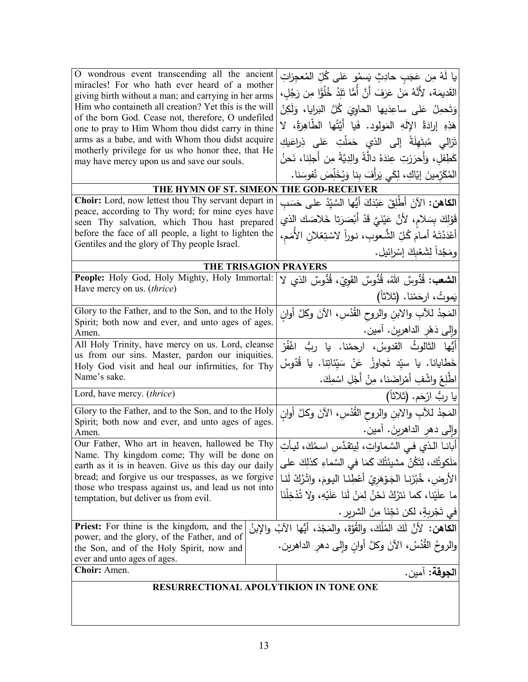| O wondrous event transcending all the ancient<br>miracles! For who hath ever heard of a mother<br>giving birth without a man; and carrying in her arms<br>Him who containeth all creation? Yet this is the will<br>of the born God. Cease not, therefore, O undefiled<br>one to pray to Him Whom thou didst carry in thine<br>arms as a babe, and with Whom thou didst acquire<br>motherly privilege for us who honor thee, that He<br>may have mercy upon us and save our souls. | يا لَهُ مِن عَجَبٍ حادِثٍ يَسمُو عَلى كُلِّ المُعجِزاتِ<br>القَديمَة، لأَنَّهُ مَنْ عَرَفَ أَنَّ أَمًّا تَلِدُ خُلُوًّا مِن رَجُلٍ،<br>وَتَحمِلُ عَلى ساعِدَيها الحاويَ كُلَّ البَرايا، وَلَكِنْ<br>هَذِهِ إِرادَةُ الإِلَهِ المَولود. فَيا أَيَّتُها الطَّاهِرَةُ، لا<br>تَرْالى مُبِتَهِلَةً إِلَى الذي حَمَلْتِ عَلَى ذِراعَيكِ<br>كَطِفلِ، وَأَحرَزتِ عِندَهُ دالَّةً والِدِيَّةَ مِن أُجلِنا، نَحنُ<br>المُكَرِّمينَ إِيّاكِ، لِكَي يَرأَفَ بِنا وَيُخَلِّصَ نُفوسَنا. |
|-----------------------------------------------------------------------------------------------------------------------------------------------------------------------------------------------------------------------------------------------------------------------------------------------------------------------------------------------------------------------------------------------------------------------------------------------------------------------------------|-----------------------------------------------------------------------------------------------------------------------------------------------------------------------------------------------------------------------------------------------------------------------------------------------------------------------------------------------------------------------------------------------------------------------------------------------------------------------------|
| THE HYMN OF ST. SIMEON THE GOD-RECEIVER                                                                                                                                                                                                                                                                                                                                                                                                                                           |                                                                                                                                                                                                                                                                                                                                                                                                                                                                             |
| Choir: Lord, now lettest thou Thy servant depart in                                                                                                                                                                                                                                                                                                                                                                                                                               | ا <b>لكاهن:</b> الآنَ أَطْلِقْ عَبْدَكَ أَيُّها السَّيّدُ على حَسَبِ                                                                                                                                                                                                                                                                                                                                                                                                        |
| peace, according to Thy word; for mine eyes have<br>seen Thy salvation, which Thou hast prepared                                                                                                                                                                                                                                                                                                                                                                                  | قَوْلِكَ بِسَلامٍ، لأَنَّ عَيْنَيَّ قَدْ أَبْصَرَتا خَلاصَكَ الذي                                                                                                                                                                                                                                                                                                                                                                                                           |
| before the face of all people, a light to lighten the                                                                                                                                                                                                                                                                                                                                                                                                                             |                                                                                                                                                                                                                                                                                                                                                                                                                                                                             |
| Gentiles and the glory of Thy people Israel.                                                                                                                                                                                                                                                                                                                                                                                                                                      | أَعْدَدْتَهُ أَمامَ كُلِّ الشُّعوبِ، نوراً لاسْتِعْلانِ الأَمَمِ،                                                                                                                                                                                                                                                                                                                                                                                                           |
|                                                                                                                                                                                                                                                                                                                                                                                                                                                                                   | ومَجْداً لِشَعْبِكَ إِسْرائيل.                                                                                                                                                                                                                                                                                                                                                                                                                                              |
| THE TRISAGION PRAYERS                                                                                                                                                                                                                                                                                                                                                                                                                                                             |                                                                                                                                                                                                                                                                                                                                                                                                                                                                             |
| People: Holy God, Holy Mighty, Holy Immortal:<br>Have mercy on us. (thrice)                                                                                                                                                                                                                                                                                                                                                                                                       | ا <b>لشعب:</b> قُدُوسٌ اللهُ، قُدُّوسٌ القَوِيّ، قُدُّوسٌ الذي لا                                                                                                                                                                                                                                                                                                                                                                                                           |
|                                                                                                                                                                                                                                                                                                                                                                                                                                                                                   | يَموتُ، ارجَمْنا. (ثلاثاً)                                                                                                                                                                                                                                                                                                                                                                                                                                                  |
| Glory to the Father, and to the Son, and to the Holy                                                                                                                                                                                                                                                                                                                                                                                                                              | المَجدُ للأبِ والابنِ والروحِ القُدُسِ، الآنَ وكُلَّ أُوانِ                                                                                                                                                                                                                                                                                                                                                                                                                 |
| Spirit; both now and ever, and unto ages of ages.<br>Amen.                                                                                                                                                                                                                                                                                                                                                                                                                        | وإِلى دَهْرِ الداهرينَ. أمين.                                                                                                                                                                                                                                                                                                                                                                                                                                               |
| All Holy Trinity, have mercy on us. Lord, cleanse                                                                                                                                                                                                                                                                                                                                                                                                                                 | أَيُّها الثالوثُ القدوسُ، ارحمْنا. يا ربُّ اغْفُرْ                                                                                                                                                                                                                                                                                                                                                                                                                          |
| us from our sins. Master, pardon our iniquities.                                                                                                                                                                                                                                                                                                                                                                                                                                  |                                                                                                                                                                                                                                                                                                                                                                                                                                                                             |
| Holy God visit and heal our infirmities, for Thy                                                                                                                                                                                                                                                                                                                                                                                                                                  | خَطايانا. يا سيّد تَجاوزْ عَنْ سَيِّئاتِنا. يا قُدّوسُ                                                                                                                                                                                                                                                                                                                                                                                                                      |
| Name's sake.                                                                                                                                                                                                                                                                                                                                                                                                                                                                      | اطّْلِعْ واشْفِ أَمْراضَنا، مِنْ أَجْلِ اسْمِكَ.                                                                                                                                                                                                                                                                                                                                                                                                                            |
| Lord, have mercy. (thrice)                                                                                                                                                                                                                                                                                                                                                                                                                                                        | يا ربُ ارْحَم. (ثلاثاً)                                                                                                                                                                                                                                                                                                                                                                                                                                                     |
| Glory to the Father, and to the Son, and to the Holy                                                                                                                                                                                                                                                                                                                                                                                                                              | المَجدُ للأبِ والابنِ والروح القُدُسِ، الآنَ وكلَّ أوانِ                                                                                                                                                                                                                                                                                                                                                                                                                    |
| Spirit; both now and ever, and unto ages of ages.<br>Amen.                                                                                                                                                                                                                                                                                                                                                                                                                        | وإِلىي دهر الداهرينَ. أمين.                                                                                                                                                                                                                                                                                                                                                                                                                                                 |
| Our Father, Who art in heaven, hallowed be Thy                                                                                                                                                                                                                                                                                                                                                                                                                                    | أبانـا الـذي فـي السَّماواتِ، لِيتقدَّس اسمُكَ، ليـأتِ                                                                                                                                                                                                                                                                                                                                                                                                                      |
| Name. Thy kingdom come; Thy will be done on<br>earth as it is in heaven. Give us this day our daily                                                                                                                                                                                                                                                                                                                                                                               | مَلَكوتُك، لِتَكُنْ مشيئَتُكَ كَمَا في السَّماءِ كذلِكَ على                                                                                                                                                                                                                                                                                                                                                                                                                 |
| bread; and forgive us our trespasses, as we forgive                                                                                                                                                                                                                                                                                                                                                                                                                               | الأرض، خُبْزَنـا الـجَـوْهَرِيّ أَعْطِنَـا اليـومَ، واتْرُكْ لَنَـا                                                                                                                                                                                                                                                                                                                                                                                                         |
| those who trespass against us, and lead us not into<br>temptation, but deliver us from evil.                                                                                                                                                                                                                                                                                                                                                                                      | ما علَيْنا، كما نَترُكُ نَحْنُ لِمَنْ لَنا عَلَيْهِ، ولا تُدْخِلْنَا                                                                                                                                                                                                                                                                                                                                                                                                        |
|                                                                                                                                                                                                                                                                                                                                                                                                                                                                                   | في تَجْرِبةٍ، لكن نَجِّنَا مِنَ الشريرِ .                                                                                                                                                                                                                                                                                                                                                                                                                                   |
| Priest: For thine is the kingdom, and the                                                                                                                                                                                                                                                                                                                                                                                                                                         | ا <b>لكاهن:</b> لأنَّ لَكَ المُلْكَ، والقُوَّةَ، والمَجْدَ، أيُّها الآبُ والإبنُ                                                                                                                                                                                                                                                                                                                                                                                            |
| power, and the glory, of the Father, and of                                                                                                                                                                                                                                                                                                                                                                                                                                       |                                                                                                                                                                                                                                                                                                                                                                                                                                                                             |
| the Son, and of the Holy Spirit, now and                                                                                                                                                                                                                                                                                                                                                                                                                                          | والروحُ القُدُسُ، الآنَ وكلَّ أوانِ وإلى دهرِ الداهرين.                                                                                                                                                                                                                                                                                                                                                                                                                     |
| ever and unto ages of ages.<br>Choir: Amen.                                                                                                                                                                                                                                                                                                                                                                                                                                       |                                                                                                                                                                                                                                                                                                                                                                                                                                                                             |
|                                                                                                                                                                                                                                                                                                                                                                                                                                                                                   | الجوقة: آمين.                                                                                                                                                                                                                                                                                                                                                                                                                                                               |
| RESURRECTIONAL APOLYTIKION IN TONE ONE                                                                                                                                                                                                                                                                                                                                                                                                                                            |                                                                                                                                                                                                                                                                                                                                                                                                                                                                             |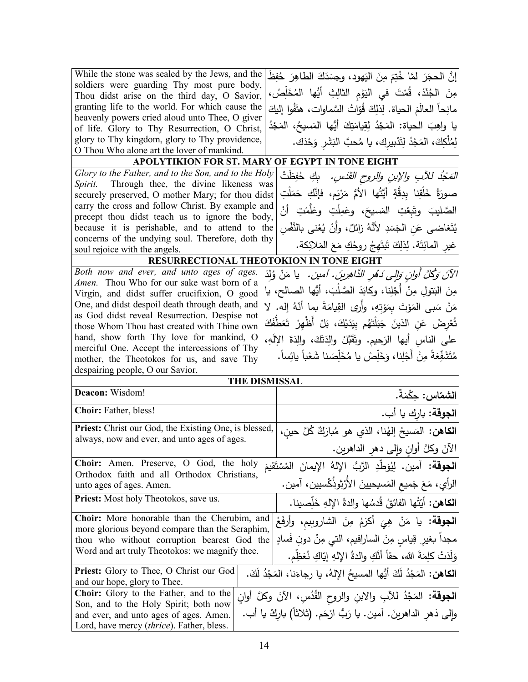| While the stone was sealed by the Jews, and the                                                                                     | إِنَّ الحجَرَ لَمَّا خُتِمَ مِنَ اليَهودِ، وجسَدَكَ الطاهِرَ حُفِظَ         |
|-------------------------------------------------------------------------------------------------------------------------------------|-----------------------------------------------------------------------------|
| soldiers were guarding Thy most pure body,                                                                                          | مِنَ الْجُنْدْ، قُمْتَ في الْيَوْمِ الثَالِثِ أَيُّها الْمُخَلِّصُ،         |
| Thou didst arise on the third day, O Savior,                                                                                        |                                                                             |
| granting life to the world. For which cause the                                                                                     | مانِحاً العالَمَ الحياة. لِذلِكَ قُوّاتُ السَّماوات، هتَفُوا إليكَ          |
| heavenly powers cried aloud unto Thee, O giver<br>of life. Glory to Thy Resurrection, O Christ,                                     | يا واهِبَ الحياة: المَجْدُ لِقِيامَتِكَ أَيُّها المَسيحُ، المَجْدُ          |
| glory to Thy kingdom, glory to Thy providence,<br>O Thou Who alone art the lover of mankind.                                        | لِمُلْكِكَ، المَجْدُ لِتَدْبِيرِكَ، يا مُحبَّ البَشَرِ وَحْدَكَ.            |
| APOLYTIKION FOR ST. MARY OF EGYPT IN TONE EIGHT                                                                                     |                                                                             |
| Glory to the Father, and to the Son, and to the Holy                                                                                |                                                                             |
| Spirit. Through thee, the divine likeness was                                                                                       | <i>التَّمْدُ للأَبِ والإبنِ والروح القَدَسِ.</i> بِكِ خُفِظَتْ              |
| صورَةُ خَلْقِنا بِدِقَّةٍ أَيَّتُها الأُمُّ مَرْيَمٍ، فإنَّكِ حَمَلْتِ<br>securely preserved, O mother Mary; for thou didst         |                                                                             |
| carry the cross and follow Christ. By example and<br>الصَّليبَ وتَبِعْتِ المَسيحَ، وعَمِلْتِ وعَلَّمْتِ أَنْ                        |                                                                             |
| precept thou didst teach us to ignore the body,                                                                                     |                                                                             |
| يُتَغاضىي عَنِ الْجَسَدِ لأَنَّهُ زِائِلٌ، وأَنْ يُعْنى بِالنَّفْسِ<br>because it is perishable, and to attend to the               |                                                                             |
| concerns of the undying soul. Therefore, doth thy<br>soul rejoice with the angels.                                                  | غيرِ المائِتَةِ. لِذَلِكَ تَبتَهِجُ رِوِحُكِ مَعَ المَلائِكةِ.              |
|                                                                                                                                     |                                                                             |
| RESURRECTIONAL THEOTOKION IN TONE EIGHT<br>Both now and ever, and unto ages of ages.                                                |                                                                             |
| Amen. Thou Who for our sake wast born of a                                                                                          | الآنَ وَكُلَّ أُوانٍ وَإِلَى دَهْرِ الدَّاهِرِينَ. آمين.  يا مَنْ وُلدَ     |
| Virgin, and didst suffer crucifixion, O good                                                                                        | مِنَ البَتولِ مِنْ أَجْلِنا، وكابَدَ الصَّلْبَ، أَيُّها الصالح، يا          |
| One, and didst despoil death through death, and                                                                                     | مَنْ سَبِي المَوْتَ بِمَوْتِهِ، وأَرِى القِيامَةَ بما أنّهُ إله. لا         |
| as God didst reveal Resurrection. Despise not                                                                                       | تُعْرِضْ عَنِ الذينَ جَبَلْتَهُم بِيَدَيْكَ، بَلْ أَظْهِرْ تَعَطُّفَكَ      |
| those Whom Thou hast created with Thine own                                                                                         |                                                                             |
| hand, show forth Thy love for mankind, O<br>merciful One. Accept the intercessions of Thy                                           | على الناسِ أيها الرَحيم. وتَقَبَّلْ والِذَتَكَ، والِذَةَ الإِلَهِ،          |
| mother, the Theotokos for us, and save Thy                                                                                          | مُتَثَفِّعَةً مِنْ أَجْلِنا، وَخَلِّصْ يا مُخَلِّصَنا شَعْباً يائِساً.      |
| despairing people, O our Savior.                                                                                                    |                                                                             |
| <b>THE DISMISSAL</b>                                                                                                                |                                                                             |
| Deacon: Wisdom!                                                                                                                     | ا <b>لشماس:</b> حكْمَةٌ.                                                    |
| Choir: Father, bless!                                                                                                               | ا <b>لجوقة:</b> بارك يا أب.                                                 |
| Priest: Christ our God, the Existing One, is blessed,<br>ا <b>لكاهن:</b> المَسيحُ إلهُنا، الذي هو مُبارَكٌ كُلَّ حين،               |                                                                             |
| always, now and ever, and unto ages of ages.                                                                                        |                                                                             |
|                                                                                                                                     | الآنَ وكلَّ أوانٍ وإلى دهرِ الداهرينِ.                                      |
| Choir: Amen. Preserve, O God, the holy<br>Orthodox faith and all Orthodox Christians,                                               | ا <b>لجوقة:</b> آمين. لِيُوَطِّدِ الرَّبُّ الإِلهُ الإِيمانَ المُسْتَقيمَ   |
| unto ages of ages. Amen.                                                                                                            | الرأى، مَعَ جَميع المَسيحيينَ الأَرْثوذُكْسيين، آمين.                       |
| <b>Priest:</b> Most holy Theotokos, save us.                                                                                        | ا <b>لكاهن:</b> أَيّتُها الفائقُ قُدسُها والدةُ اﻹلهِ خَلّصينا.             |
| Choir: More honorable than the Cherubim, and                                                                                        | ا <b>لجوقة:</b> يا مَنْ هِيَ أكرَمُ مِنَ الشاروبيم، وأرفَعُ                 |
| more glorious beyond compare than the Seraphim,                                                                                     |                                                                             |
| thou who without corruption bearest God the                                                                                         | مجداً بغير قِياسٍ مِنَ السارافيمِ، التي مِنْ دونِ فَسادٍ                    |
| Word and art truly Theotokos: we magnify thee.                                                                                      | وَلَدَتْ كَلِمَةَ الله، حقاً أنَّكِ والدةُ اﻹلهِ إيّاكِ نُعَظِّم.           |
| <b>Priest:</b> Glory to Thee, O Christ our God<br>ا <b>لكاهن:</b> المَجْدُ لَكَ أَيُّها المسيحُ الإِلهُ، يا رجاءَنا، المَجْدُ لَكَ. |                                                                             |
| and our hope, glory to Thee.                                                                                                        |                                                                             |
| Choir: Glory to the Father, and to the                                                                                              | ا <b>لجوقة:</b> المَجْدُ للأَبِ والابنِ والروحِ القُدُسِ، الآنَ وكلَّ أوانِ |
| Son, and to the Holy Spirit; both now                                                                                               |                                                                             |
|                                                                                                                                     |                                                                             |
| and ever, and unto ages of ages. Amen.<br>Lord, have mercy (thrice). Father, bless.                                                 | وإلى دَهر الداهرينَ. آمين. يا رَبُّ ارْحَم. (ثلاثاً) باركْ يا أب.           |